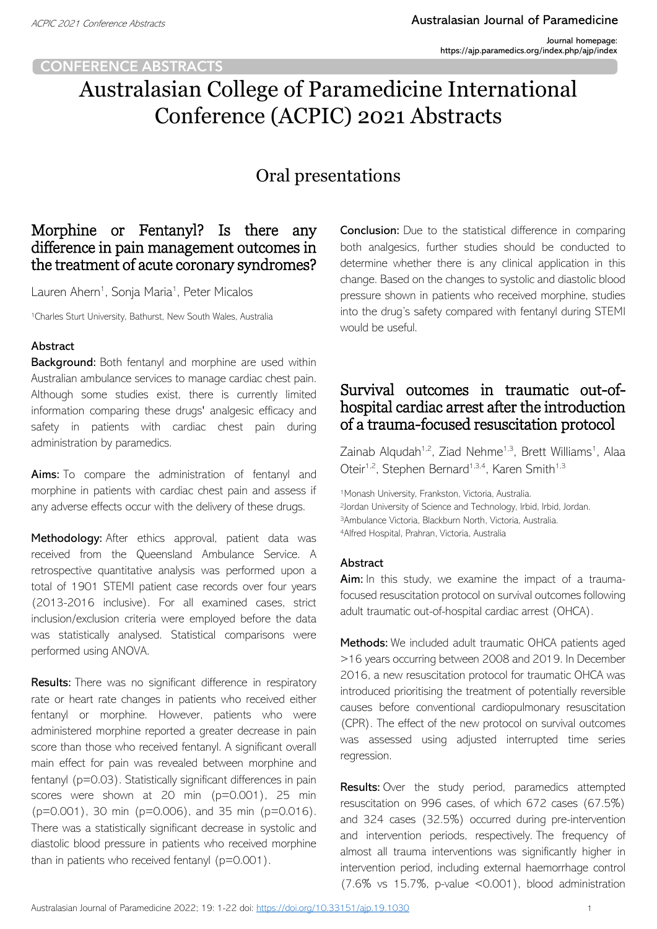### **CONFERENCE ABSTRACTS**

# Australasian College of Paramedicine International Conference (ACPIC) 2021 Abstracts

# Oral presentations

# Morphine or Fentanyl? Is there any difference in pain management outcomes in the treatment of acute coronary syndromes?

Lauren Ahern<sup>1</sup>, Sonja Maria<sup>1</sup>, Peter Micalos

<sup>1</sup>Charles Sturt University, Bathurst, New South Wales, Australia

### Abstract

Background: Both fentanyl and morphine are used within Australian ambulance services to manage cardiac chest pain. Although some studies exist, there is currently limited information comparing these drugs' analgesic efficacy and safety in patients with cardiac chest pain during administration by paramedics.

Aims: To compare the administration of fentanyl and morphine in patients with cardiac chest pain and assess if any adverse effects occur with the delivery of these drugs.

Methodology: After ethics approval, patient data was received from the Queensland Ambulance Service. A retrospective quantitative analysis was performed upon a total of 1901 STEMI patient case records over four years (2013-2016 inclusive). For all examined cases, strict inclusion/exclusion criteria were employed before the data was statistically analysed. Statistical comparisons were performed using ANOVA.

Results: There was no significant difference in respiratory rate or heart rate changes in patients who received either fentanyl or morphine. However, patients who were administered morphine reported a greater decrease in pain score than those who received fentanyl. A significant overall main effect for pain was revealed between morphine and fentanyl (p=0.03). Statistically significant differences in pain scores were shown at 20 min (p=0.001), 25 min (p=0.001), 30 min (p=0.006), and 35 min (p=0.016). There was a statistically significant decrease in systolic and diastolic blood pressure in patients who received morphine than in patients who received fentanyl (p=0.001).

**Conclusion:** Due to the statistical difference in comparing both analgesics, further studies should be conducted to determine whether there is any clinical application in this change. Based on the changes to systolic and diastolic blood pressure shown in patients who received morphine, studies into the drug's safety compared with fentanyl during STEMI would be useful.

# Survival outcomes in traumatic out-ofhospital cardiac arrest after the introduction of a trauma-focused resuscitation protocol

Zainab Alqudah<sup>1,2</sup>, Ziad Nehme<sup>1,3</sup>, Brett Williams<sup>1</sup>, Alaa Oteir<sup>1,2</sup>, Stephen Bernard<sup>1,3,4</sup>, Karen Smith<sup>1,3</sup>

1Monash University, Frankston, Victoria, Australia. Jordan University of Science and Technology, Irbid, Irbid, Jordan. Ambulance Victoria, Blackburn North, Victoria, Australia. Alfred Hospital, Prahran, Victoria, Australia

#### Abstract

Aim: In this study, we examine the impact of a traumafocused resuscitation protocol on survival outcomes following adult traumatic out-of-hospital cardiac arrest (OHCA).

Methods: We included adult traumatic OHCA patients aged >16 years occurring between 2008 and 2019. In December 2016, a new resuscitation protocol for traumatic OHCA was introduced prioritising the treatment of potentially reversible causes before conventional cardiopulmonary resuscitation (CPR). The effect of the new protocol on survival outcomes was assessed using adjusted interrupted time series regression.

Results: Over the study period, paramedics attempted resuscitation on 996 cases, of which 672 cases (67.5%) and 324 cases (32.5%) occurred during pre-intervention and intervention periods, respectively. The frequency of almost all trauma interventions was significantly higher in intervention period, including external haemorrhage control (7.6% vs 15.7%, p-value <0.001), blood administration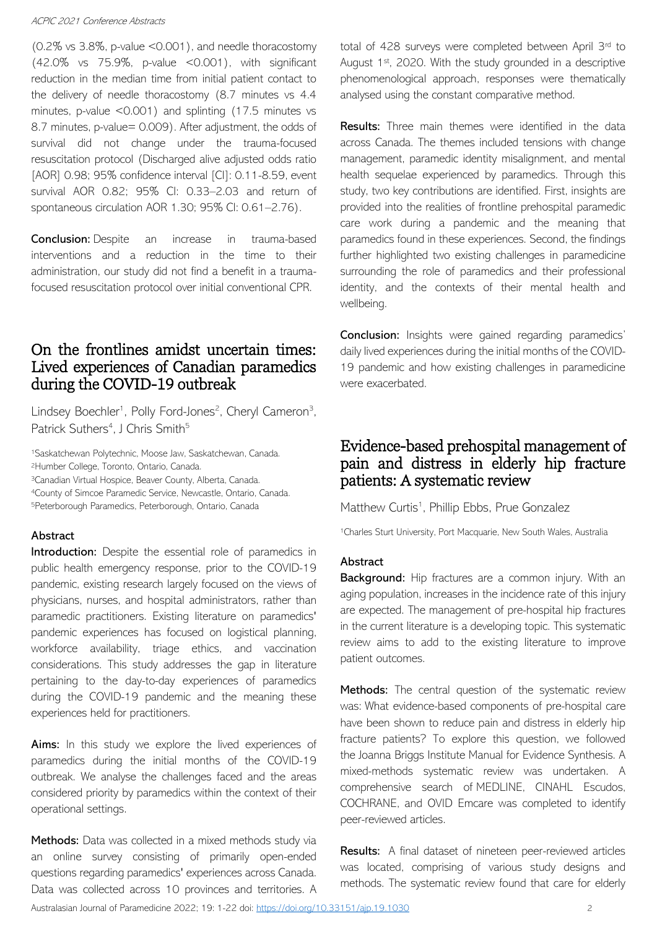(0.2% vs 3.8%, p-value <0.001), and needle thoracostomy (42.0% vs 75.9%, p-value <0.001), with significant reduction in the median time from initial patient contact to the delivery of needle thoracostomy (8.7 minutes vs 4.4 minutes, p-value <0.001) and splinting (17.5 minutes vs 8.7 minutes, p-value= 0.009). After adjustment, the odds of survival did not change under the trauma-focused resuscitation protocol (Discharged alive adjusted odds ratio [AOR] 0.98; 95% confidence interval [CI]: 0.11-8.59, event survival AOR 0.82; 95% CI: 0.33–2.03 and return of spontaneous circulation AOR 1.30; 95% CI: 0.61–2.76).

**Conclusion:** Despite an increase in trauma-based interventions and a reduction in the time to their administration, our study did not find a benefit in a traumafocused resuscitation protocol over initial conventional CPR.

### On the frontlines amidst uncertain times: Lived experiences of Canadian paramedics during the COVID-19 outbreak

Lindsey Boechler<sup>1</sup>, Polly Ford-Jones<sup>2</sup>, Cheryl Cameron<sup>3</sup>, Patrick Suthers<sup>4</sup>, J Chris Smith<sup>5</sup>

Saskatchewan Polytechnic, Moose Jaw, Saskatchewan, Canada. Humber College, Toronto, Ontario, Canada. Canadian Virtual Hospice, Beaver County, Alberta, Canada. County of Simcoe Paramedic Service, Newcastle, Ontario, Canada. Peterborough Paramedics, Peterborough, Ontario, Canada

#### Abstract

Introduction: Despite the essential role of paramedics in public health emergency response, prior to the COVID-19 pandemic, existing research largely focused on the views of physicians, nurses, and hospital administrators, rather than paramedic practitioners. Existing literature on paramedics' pandemic experiences has focused on logistical planning, workforce availability, triage ethics, and vaccination considerations. This study addresses the gap in literature pertaining to the day-to-day experiences of paramedics during the COVID-19 pandemic and the meaning these experiences held for practitioners.

Aims: In this study we explore the lived experiences of paramedics during the initial months of the COVID-19 outbreak. We analyse the challenges faced and the areas considered priority by paramedics within the context of their operational settings.

Methods: Data was collected in a mixed methods study via an online survey consisting of primarily open-ended questions regarding paramedics' experiences across Canada. Data was collected across 10 provinces and territories. A total of 428 surveys were completed between April 3rd to August 1st, 2020. With the study grounded in a descriptive phenomenological approach, responses were thematically analysed using the constant comparative method.

Results: Three main themes were identified in the data across Canada. The themes included tensions with change management, paramedic identity misalignment, and mental health sequelae experienced by paramedics. Through this study, two key contributions are identified. First, insights are provided into the realities of frontline prehospital paramedic care work during a pandemic and the meaning that paramedics found in these experiences. Second, the findings further highlighted two existing challenges in paramedicine surrounding the role of paramedics and their professional identity, and the contexts of their mental health and wellbeing.

**Conclusion:** Insights were gained regarding paramedics' daily lived experiences during the initial months of the COVID-19 pandemic and how existing challenges in paramedicine were exacerbated.

### Evidence-based prehospital management of pain and distress in elderly hip fracture patients: A systematic review

Matthew Curtis<sup>1</sup>, Phillip Ebbs, Prue Gonzalez

<sup>1</sup>Charles Sturt University, Port Macquarie, New South Wales, Australia

### Abstract

**Background:** Hip fractures are a common injury. With an aging population, increases in the incidence rate of this injury are expected. The management of pre-hospital hip fractures in the current literature is a developing topic. This systematic review aims to add to the existing literature to improve patient outcomes.

Methods: The central question of the systematic review was: What evidence-based components of pre-hospital care have been shown to reduce pain and distress in elderly hip fracture patients? To explore this question, we followed the Joanna Briggs Institute Manual for Evidence Synthesis. A mixed-methods systematic review was undertaken. A comprehensive search of MEDLINE, CINAHL Escudos, COCHRANE, and OVID Emcare was completed to identify peer-reviewed articles.

Results: A final dataset of nineteen peer-reviewed articles was located, comprising of various study designs and methods. The systematic review found that care for elderly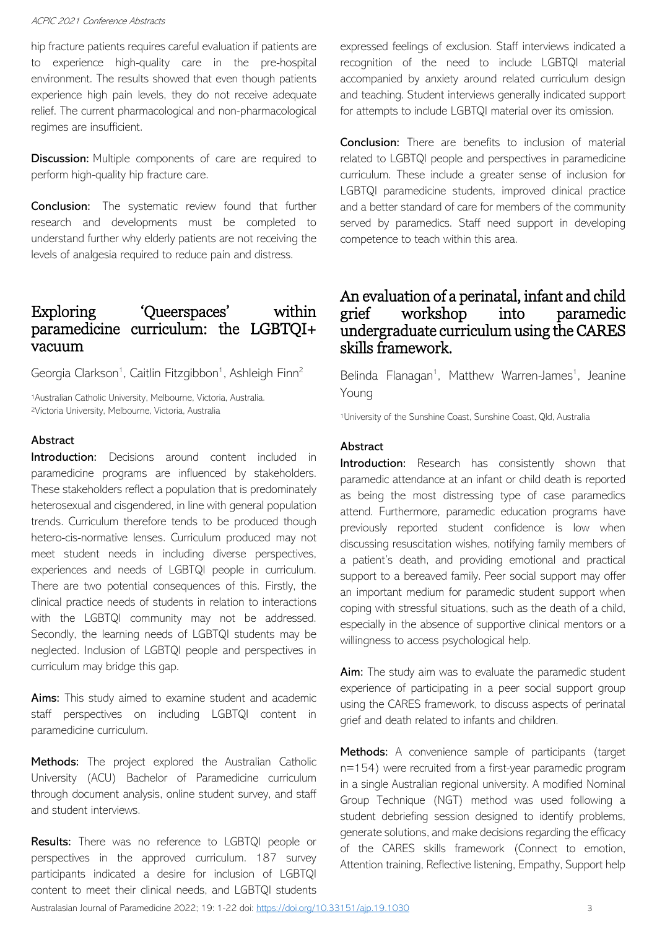hip fracture patients requires careful evaluation if patients are to experience high-quality care in the pre-hospital environment. The results showed that even though patients experience high pain levels, they do not receive adequate relief. The current pharmacological and non-pharmacological regimes are insufficient.

**Discussion:** Multiple components of care are required to perform high-quality hip fracture care.

**Conclusion:** The systematic review found that further research and developments must be completed to understand further why elderly patients are not receiving the levels of analgesia required to reduce pain and distress.

# Exploring 'Queerspaces' within paramedicine curriculum: the LGBTQI+ vacuum

Georgia Clarkson<sup>1</sup>, Caitlin Fitzgibbon<sup>1</sup>, Ashleigh Finn<sup>2</sup>

<sup>1</sup>Australian Catholic University, Melbourne, Victoria, Australia. <sup>2</sup>Victoria University, Melbourne, Victoria, Australia

#### Abstract

Introduction: Decisions around content included in paramedicine programs are influenced by stakeholders. These stakeholders reflect a population that is predominately heterosexual and cisgendered, in line with general population trends. Curriculum therefore tends to be produced though hetero-cis-normative lenses. Curriculum produced may not meet student needs in including diverse perspectives, experiences and needs of LGBTQI people in curriculum. There are two potential consequences of this. Firstly, the clinical practice needs of students in relation to interactions with the LGBTQI community may not be addressed. Secondly, the learning needs of LGBTQI students may be neglected. Inclusion of LGBTQI people and perspectives in curriculum may bridge this gap.

Aims: This study aimed to examine student and academic staff perspectives on including LGBTQI content in paramedicine curriculum.

Methods: The project explored the Australian Catholic University (ACU) Bachelor of Paramedicine curriculum through document analysis, online student survey, and staff and student interviews.

Results: There was no reference to LGBTQI people or perspectives in the approved curriculum. 187 survey participants indicated a desire for inclusion of LGBTQI content to meet their clinical needs, and LGBTQI students expressed feelings of exclusion. Staff interviews indicated a recognition of the need to include LGBTQI material accompanied by anxiety around related curriculum design and teaching. Student interviews generally indicated support for attempts to include LGBTQI material over its omission.

**Conclusion:** There are benefits to inclusion of material related to LGBTQI people and perspectives in paramedicine curriculum. These include a greater sense of inclusion for LGBTQI paramedicine students, improved clinical practice and a better standard of care for members of the community served by paramedics. Staff need support in developing competence to teach within this area.

## An evaluation of a perinatal, infant and child grief workshop into paramedic undergraduate curriculum using the CARES skills framework.

Belinda Flanagan<sup>1</sup>, Matthew Warren-James<sup>1</sup>, Jeanine Young

<sup>1</sup>University of the Sunshine Coast, Sunshine Coast, Qld, Australia

### **Abstract**

Introduction: Research has consistently shown that paramedic attendance at an infant or child death is reported as being the most distressing type of case paramedics attend. Furthermore, paramedic education programs have previously reported student confidence is low when discussing resuscitation wishes, notifying family members of a patient's death, and providing emotional and practical support to a bereaved family. Peer social support may offer an important medium for paramedic student support when coping with stressful situations, such as the death of a child, especially in the absence of supportive clinical mentors or a willingness to access psychological help.

Aim: The study aim was to evaluate the paramedic student experience of participating in a peer social support group using the CARES framework, to discuss aspects of perinatal grief and death related to infants and children.

Methods: A convenience sample of participants (target n=154) were recruited from a first-year paramedic program in a single Australian regional university. A modified Nominal Group Technique (NGT) method was used following a student debriefing session designed to identify problems, generate solutions, and make decisions regarding the efficacy of the CARES skills framework (Connect to emotion, Attention training, Reflective listening, Empathy, Support help

Australasian Journal of Paramedicine 2022; 19: 1-22 doi: <https://doi.org/10.33151/ajp.19.1030> 3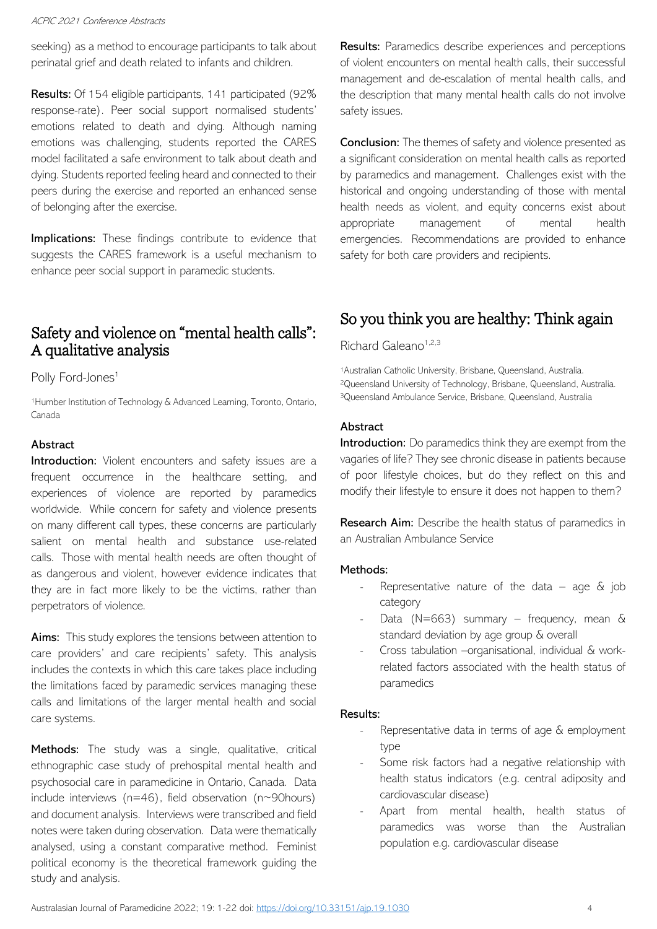seeking) as a method to encourage participants to talk about perinatal grief and death related to infants and children.

Results: Of 154 eligible participants, 141 participated (92% response-rate). Peer social support normalised students' emotions related to death and dying. Although naming emotions was challenging, students reported the CARES model facilitated a safe environment to talk about death and dying. Students reported feeling heard and connected to their peers during the exercise and reported an enhanced sense of belonging after the exercise.

Implications: These findings contribute to evidence that suggests the CARES framework is a useful mechanism to enhance peer social support in paramedic students.

# Safety and violence on "mental health calls": A qualitative analysis

### Polly Ford-Jones<sup>1</sup>

<sup>1</sup>Humber Institution of Technology & Advanced Learning, Toronto, Ontario, Canada

### Abstract

Introduction: Violent encounters and safety issues are a frequent occurrence in the healthcare setting, and experiences of violence are reported by paramedics worldwide. While concern for safety and violence presents on many different call types, these concerns are particularly salient on mental health and substance use-related calls. Those with mental health needs are often thought of as dangerous and violent, however evidence indicates that they are in fact more likely to be the victims, rather than perpetrators of violence.

Aims: This study explores the tensions between attention to care providers' and care recipients' safety. This analysis includes the contexts in which this care takes place including the limitations faced by paramedic services managing these calls and limitations of the larger mental health and social care systems.

Methods: The study was a single, qualitative, critical ethnographic case study of prehospital mental health and psychosocial care in paramedicine in Ontario, Canada. Data include interviews ( $n=46$ ), field observation ( $n \sim 90$ hours) and document analysis. Interviews were transcribed and field notes were taken during observation. Data were thematically analysed, using a constant comparative method. Feminist political economy is the theoretical framework guiding the study and analysis.

Results: Paramedics describe experiences and perceptions of violent encounters on mental health calls, their successful management and de-escalation of mental health calls, and the description that many mental health calls do not involve safety issues.

**Conclusion:** The themes of safety and violence presented as a significant consideration on mental health calls as reported by paramedics and management. Challenges exist with the historical and ongoing understanding of those with mental health needs as violent, and equity concerns exist about appropriate management of mental health emergencies. Recommendations are provided to enhance safety for both care providers and recipients.

# So you think you are healthy: Think again

### Richard Galeano<sup>1,2,3</sup>

<sup>1</sup>Australian Catholic University, Brisbane, Queensland, Australia. <sup>2</sup>Queensland University of Technology, Brisbane, Queensland, Australia. <sup>3</sup>Queensland Ambulance Service, Brisbane, Queensland, Australia

#### Abstract

Introduction: Do paramedics think they are exempt from the vagaries of life? They see chronic disease in patients because of poor lifestyle choices, but do they reflect on this and modify their lifestyle to ensure it does not happen to them?

Research Aim: Describe the health status of paramedics in an Australian Ambulance Service

#### Methods:

- Representative nature of the data age  $\&$  job category
- Data (N=663) summary frequency, mean  $\&$ standard deviation by age group & overall
- Cross tabulation –organisational, individual & workrelated factors associated with the health status of paramedics

#### Results:

- Representative data in terms of age & employment type
- Some risk factors had a negative relationship with health status indicators (e.g. central adiposity and cardiovascular disease)
- Apart from mental health, health status of paramedics was worse than the Australian population e.g. cardiovascular disease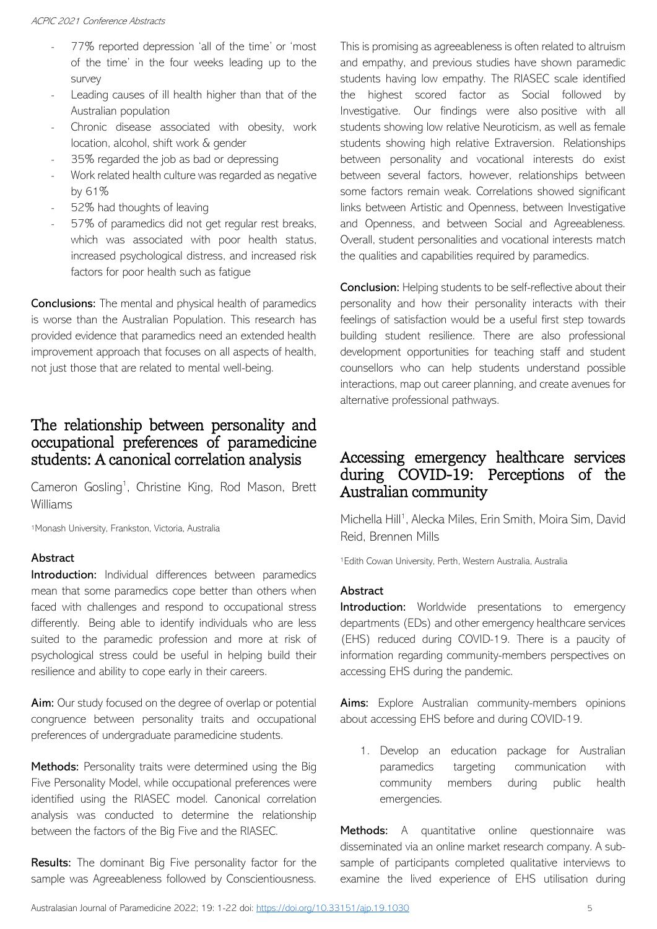- 77% reported depression 'all of the time' or 'most of the time' in the four weeks leading up to the survey
- Leading causes of ill health higher than that of the Australian population
- Chronic disease associated with obesity, work location, alcohol, shift work & gender
- 35% regarded the job as bad or depressing
- Work related health culture was regarded as negative by 61%
- 52% had thoughts of leaving
- 57% of paramedics did not get regular rest breaks, which was associated with poor health status, increased psychological distress, and increased risk factors for poor health such as fatigue

**Conclusions:** The mental and physical health of paramedics is worse than the Australian Population. This research has provided evidence that paramedics need an extended health improvement approach that focuses on all aspects of health, not just those that are related to mental well-being.

# The relationship between personality and occupational preferences of paramedicine students: A canonical correlation analysis

Cameron Gosling<sup>1</sup>, Christine King, Rod Mason, Brett Williams

<sup>1</sup>Monash University, Frankston, Victoria, Australia

### Abstract

Introduction: Individual differences between paramedics mean that some paramedics cope better than others when faced with challenges and respond to occupational stress differently. Being able to identify individuals who are less suited to the paramedic profession and more at risk of psychological stress could be useful in helping build their resilience and ability to cope early in their careers.

Aim: Our study focused on the degree of overlap or potential congruence between personality traits and occupational preferences of undergraduate paramedicine students.

Methods: Personality traits were determined using the Big Five Personality Model, while occupational preferences were identified using the RIASEC model. Canonical correlation analysis was conducted to determine the relationship between the factors of the Big Five and the RIASEC.

**Results:** The dominant Big Five personality factor for the sample was Agreeableness followed by Conscientiousness.

This is promising as agreeableness is often related to altruism and empathy, and previous studies have shown paramedic students having low empathy. The RIASEC scale identified the highest scored factor as Social followed by Investigative. Our findings were also positive with all students showing low relative Neuroticism, as well as female students showing high relative Extraversion. Relationships between personality and vocational interests do exist between several factors, however, relationships between some factors remain weak. Correlations showed significant links between Artistic and Openness, between Investigative and Openness, and between Social and Agreeableness. Overall, student personalities and vocational interests match the qualities and capabilities required by paramedics.

Conclusion: Helping students to be self-reflective about their personality and how their personality interacts with their feelings of satisfaction would be a useful first step towards building student resilience. There are also professional development opportunities for teaching staff and student counsellors who can help students understand possible interactions, map out career planning, and create avenues for alternative professional pathways.

# Accessing emergency healthcare services during COVID-19: Perceptions of the Australian community

Michella Hill<sup>1</sup>, Alecka Miles, Erin Smith, Moira Sim, David Reid, Brennen Mills

<sup>1</sup>Edith Cowan University, Perth, Western Australia, Australia

### Abstract

Introduction: Worldwide presentations to emergency departments (EDs) and other emergency healthcare services (EHS) reduced during COVID-19. There is a paucity of information regarding community-members perspectives on accessing EHS during the pandemic.

Aims: Explore Australian community-members opinions about accessing EHS before and during COVID-19.

1. Develop an education package for Australian paramedics targeting communication with community members during public health emergencies.

Methods: A quantitative online questionnaire was disseminated via an online market research company. A subsample of participants completed qualitative interviews to examine the lived experience of EHS utilisation during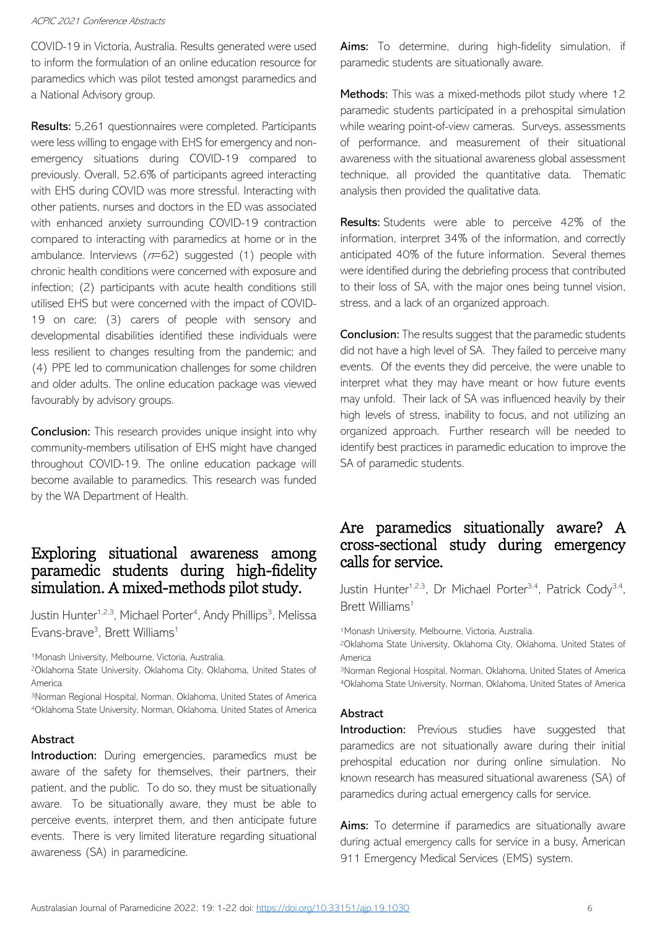COVID-19 in Victoria, Australia. Results generated were used to inform the formulation of an online education resource for paramedics which was pilot tested amongst paramedics and a National Advisory group.

Results: 5,261 questionnaires were completed. Participants were less willing to engage with EHS for emergency and nonemergency situations during COVID-19 compared to previously. Overall, 52.6% of participants agreed interacting with EHS during COVID was more stressful. Interacting with other patients, nurses and doctors in the ED was associated with enhanced anxiety surrounding COVID-19 contraction compared to interacting with paramedics at home or in the ambulance. Interviews  $(n=62)$  suggested (1) people with chronic health conditions were concerned with exposure and infection; (2) participants with acute health conditions still utilised EHS but were concerned with the impact of COVID-19 on care; (3) carers of people with sensory and developmental disabilities identified these individuals were less resilient to changes resulting from the pandemic; and (4) PPE led to communication challenges for some children and older adults. The online education package was viewed favourably by advisory groups.

**Conclusion:** This research provides unique insight into why community-members utilisation of EHS might have changed throughout COVID-19. The online education package will become available to paramedics. This research was funded by the WA Department of Health.

# Exploring situational awareness among paramedic students during high-fidelity simulation. A mixed-methods pilot study.

Justin Hunter<sup>1,2,3</sup>, Michael Porter<sup>4</sup>, Andy Phillips<sup>3</sup>, Melissa Evans-brave<sup>3</sup>, Brett Williams<sup>1</sup>

<sup>1</sup>Monash University, Melbourne, Victoria, Australia.

<sup>2</sup>Oklahoma State University, Oklahoma City, Oklahoma, United States of America

<sup>3</sup>Norman Regional Hospital, Norman, Oklahoma, United States of America <sup>4</sup>Oklahoma State University, Norman, Oklahoma, United States of America

### Abstract

Introduction: During emergencies, paramedics must be aware of the safety for themselves, their partners, their patient, and the public. To do so, they must be situationally aware. To be situationally aware, they must be able to perceive events, interpret them, and then anticipate future events. There is very limited literature regarding situational awareness (SA) in paramedicine.

Aims: To determine, during high-fidelity simulation, if paramedic students are situationally aware.

Methods: This was a mixed-methods pilot study where 12 paramedic students participated in a prehospital simulation while wearing point-of-view cameras. Surveys, assessments of performance, and measurement of their situational awareness with the situational awareness global assessment technique, all provided the quantitative data. Thematic analysis then provided the qualitative data.

Results: Students were able to perceive 42% of the information, interpret 34% of the information, and correctly anticipated 40% of the future information. Several themes were identified during the debriefing process that contributed to their loss of SA, with the major ones being tunnel vision, stress, and a lack of an organized approach.

Conclusion: The results suggest that the paramedic students did not have a high level of SA. They failed to perceive many events. Of the events they did perceive, the were unable to interpret what they may have meant or how future events may unfold. Their lack of SA was influenced heavily by their high levels of stress, inability to focus, and not utilizing an organized approach. Further research will be needed to identify best practices in paramedic education to improve the SA of paramedic students.

# Are paramedics situationally aware? A cross-sectional study during emergency calls for service.

Justin Hunter<sup>1,2,3</sup>, Dr Michael Porter<sup>3,4</sup>, Patrick Cody<sup>3,4</sup>, Brett Williams<sup>1</sup>

<sup>1</sup>Monash University, Melbourne, Victoria, Australia.

<sup>2</sup>Oklahoma State University, Oklahoma City, Oklahoma, United States of America

<sup>3</sup>Norman Regional Hospital, Norman, Oklahoma, United States of America <sup>4</sup>Oklahoma State University, Norman, Oklahoma, United States of America

#### **Abstract**

Introduction: Previous studies have suggested that paramedics are not situationally aware during their initial prehospital education nor during online simulation. No known research has measured situational awareness (SA) of paramedics during actual emergency calls for service.

Aims: To determine if paramedics are situationally aware during actual emergency calls for service in a busy, American 911 Emergency Medical Services (EMS) system.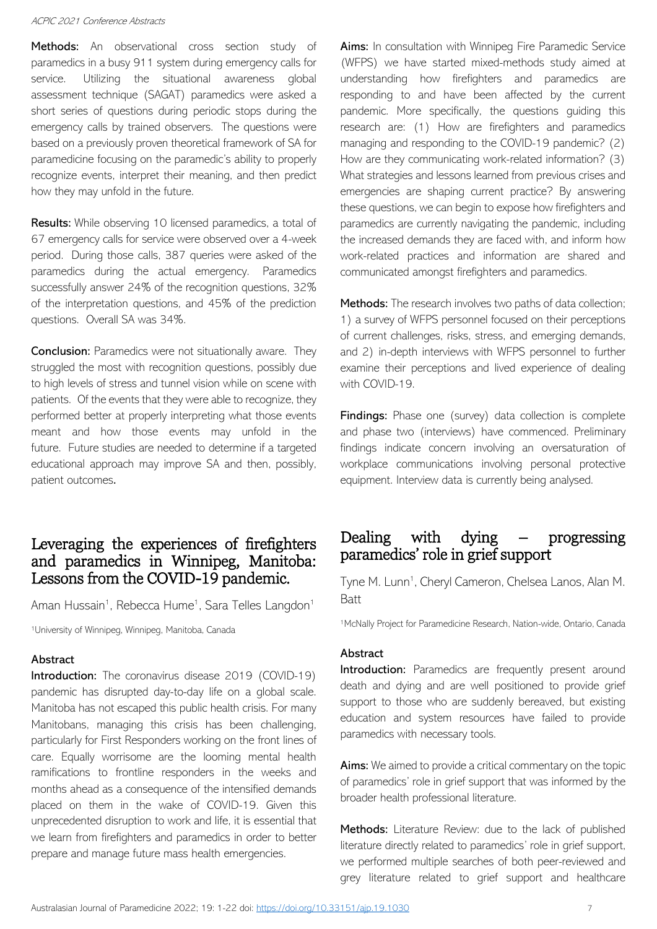Methods: An observational cross section study of paramedics in a busy 911 system during emergency calls for service. Utilizing the situational awareness global assessment technique (SAGAT) paramedics were asked a short series of questions during periodic stops during the emergency calls by trained observers. The questions were based on a previously proven theoretical framework of SA for paramedicine focusing on the paramedic's ability to properly recognize events, interpret their meaning, and then predict how they may unfold in the future.

Results: While observing 10 licensed paramedics, a total of 67 emergency calls for service were observed over a 4-week period. During those calls, 387 queries were asked of the paramedics during the actual emergency. Paramedics successfully answer 24% of the recognition questions, 32% of the interpretation questions, and 45% of the prediction questions. Overall SA was 34%.

**Conclusion:** Paramedics were not situationally aware. They struggled the most with recognition questions, possibly due to high levels of stress and tunnel vision while on scene with patients. Of the events that they were able to recognize, they performed better at properly interpreting what those events meant and how those events may unfold in the future. Future studies are needed to determine if a targeted educational approach may improve SA and then, possibly, patient outcomes.

## Leveraging the experiences of firefighters and paramedics in Winnipeg, Manitoba: Lessons from the COVID-19 pandemic.

Aman Hussain<sup>1</sup>, Rebecca Hume<sup>1</sup>, Sara Telles Langdon<sup>1</sup>

<sup>1</sup>University of Winnipeg, Winnipeg, Manitoba, Canada

#### Abstract

Introduction: The coronavirus disease 2019 (COVID-19) pandemic has disrupted day-to-day life on a global scale. Manitoba has not escaped this public health crisis. For many Manitobans, managing this crisis has been challenging, particularly for First Responders working on the front lines of care. Equally worrisome are the looming mental health ramifications to frontline responders in the weeks and months ahead as a consequence of the intensified demands placed on them in the wake of COVID-19. Given this unprecedented disruption to work and life, it is essential that we learn from firefighters and paramedics in order to better prepare and manage future mass health emergencies.

Aims: In consultation with Winnipeg Fire Paramedic Service (WFPS) we have started mixed-methods study aimed at understanding how firefighters and paramedics are responding to and have been affected by the current pandemic. More specifically, the questions guiding this research are: (1) How are firefighters and paramedics managing and responding to the COVID-19 pandemic? (2) How are they communicating work-related information? (3) What strategies and lessons learned from previous crises and emergencies are shaping current practice? By answering these questions, we can begin to expose how firefighters and paramedics are currently navigating the pandemic, including the increased demands they are faced with, and inform how work-related practices and information are shared and communicated amongst firefighters and paramedics.

Methods: The research involves two paths of data collection; 1) a survey of WFPS personnel focused on their perceptions of current challenges, risks, stress, and emerging demands, and 2) in-depth interviews with WFPS personnel to further examine their perceptions and lived experience of dealing with COVID-19.

Findings: Phase one (survey) data collection is complete and phase two (interviews) have commenced. Preliminary findings indicate concern involving an oversaturation of workplace communications involving personal protective equipment. Interview data is currently being analysed.

### Dealing with dying – progressing paramedics' role in grief support

Tyne M. Lunn<sup>1</sup>, Cheryl Cameron, Chelsea Lanos, Alan M. Batt

<sup>1</sup>McNally Project for Paramedicine Research, Nation-wide, Ontario, Canada

#### **Abstract**

Introduction: Paramedics are frequently present around death and dying and are well positioned to provide grief support to those who are suddenly bereaved, but existing education and system resources have failed to provide paramedics with necessary tools.

Aims: We aimed to provide a critical commentary on the topic of paramedics' role in grief support that was informed by the broader health professional literature.

Methods: Literature Review: due to the lack of published literature directly related to paramedics' role in grief support, we performed multiple searches of both peer-reviewed and grey literature related to grief support and healthcare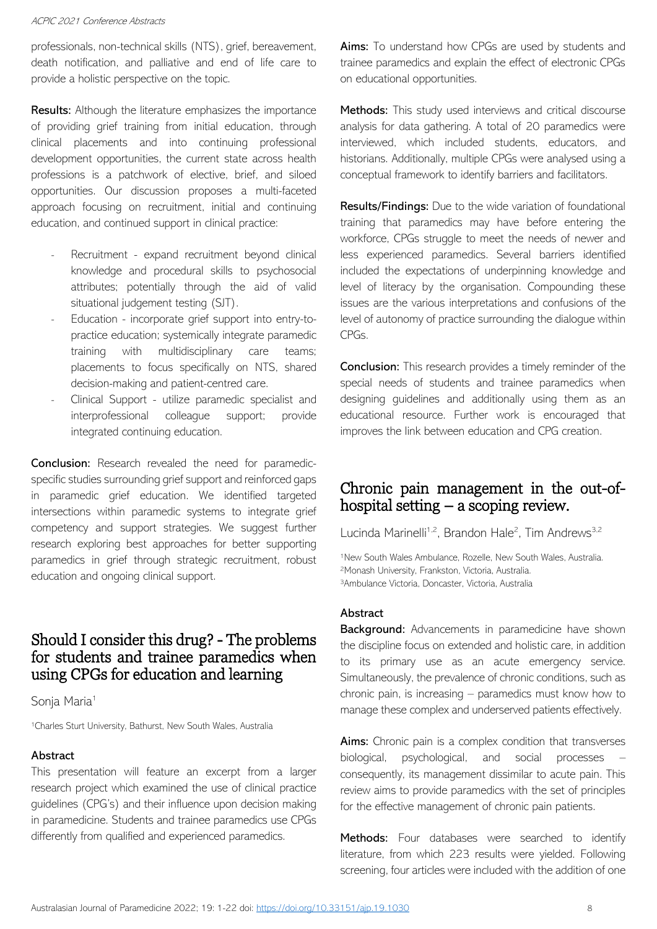professionals, non-technical skills (NTS), grief, bereavement, death notification, and palliative and end of life care to provide a holistic perspective on the topic.

Results: Although the literature emphasizes the importance of providing grief training from initial education, through clinical placements and into continuing professional development opportunities, the current state across health professions is a patchwork of elective, brief, and siloed opportunities. Our discussion proposes a multi-faceted approach focusing on recruitment, initial and continuing education, and continued support in clinical practice:

- Recruitment expand recruitment beyond clinical knowledge and procedural skills to psychosocial attributes; potentially through the aid of valid situational judgement testing (SJT).
- Education incorporate grief support into entry-topractice education; systemically integrate paramedic training with multidisciplinary care teams; placements to focus specifically on NTS, shared decision-making and patient-centred care.
- Clinical Support utilize paramedic specialist and interprofessional colleague support; provide integrated continuing education.

**Conclusion:** Research revealed the need for paramedicspecific studies surrounding grief support and reinforced gaps in paramedic grief education. We identified targeted intersections within paramedic systems to integrate grief competency and support strategies. We suggest further research exploring best approaches for better supporting paramedics in grief through strategic recruitment, robust education and ongoing clinical support.

### Should I consider this drug? - The problems for students and trainee paramedics when using CPGs for education and learning

Sonja Maria<sup>1</sup>

<sup>1</sup>Charles Sturt University, Bathurst, New South Wales, Australia

#### Abstract

This presentation will feature an excerpt from a larger research project which examined the use of clinical practice guidelines (CPG's) and their influence upon decision making in paramedicine. Students and trainee paramedics use CPGs differently from qualified and experienced paramedics.

Aims: To understand how CPGs are used by students and trainee paramedics and explain the effect of electronic CPGs on educational opportunities.

Methods: This study used interviews and critical discourse analysis for data gathering. A total of 20 paramedics were interviewed, which included students, educators, and historians. Additionally, multiple CPGs were analysed using a conceptual framework to identify barriers and facilitators.

Results/Findings: Due to the wide variation of foundational training that paramedics may have before entering the workforce, CPGs struggle to meet the needs of newer and less experienced paramedics. Several barriers identified included the expectations of underpinning knowledge and level of literacy by the organisation. Compounding these issues are the various interpretations and confusions of the level of autonomy of practice surrounding the dialogue within CPGs.

**Conclusion:** This research provides a timely reminder of the special needs of students and trainee paramedics when designing guidelines and additionally using them as an educational resource. Further work is encouraged that improves the link between education and CPG creation.

# Chronic pain management in the out-ofhospital setting – a scoping review.

Lucinda Marinelli<sup>1,2</sup>, Brandon Hale<sup>2</sup>, Tim Andrews<sup>3,2</sup>

<sup>1</sup>New South Wales Ambulance, Rozelle, New South Wales, Australia. <sup>2</sup>Monash University, Frankston, Victoria, Australia. <sup>3</sup>Ambulance Victoria, Doncaster, Victoria, Australia

#### **Abstract**

Background: Advancements in paramedicine have shown the discipline focus on extended and holistic care, in addition to its primary use as an acute emergency service. Simultaneously, the prevalence of chronic conditions, such as chronic pain, is increasing – paramedics must know how to manage these complex and underserved patients effectively.

Aims: Chronic pain is a complex condition that transverses biological, psychological, and social processes – consequently, its management dissimilar to acute pain. This review aims to provide paramedics with the set of principles for the effective management of chronic pain patients.

Methods: Four databases were searched to identify literature, from which 223 results were yielded. Following screening, four articles were included with the addition of one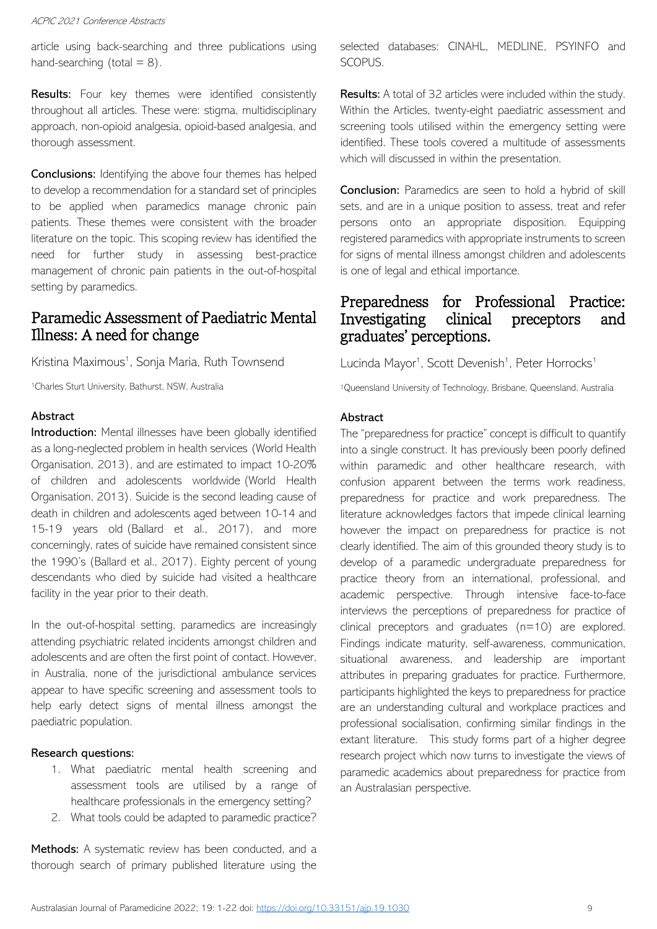article using back-searching and three publications using hand-searching (total  $= 8$ ).

**Results:** Four key themes were identified consistently throughout all articles. These were: stigma, multidisciplinary approach, non-opioid analgesia, opioid-based analgesia, and thorough assessment.

Conclusions: Identifying the above four themes has helped to develop a recommendation for a standard set of principles to be applied when paramedics manage chronic pain patients. These themes were consistent with the broader literature on the topic. This scoping review has identified the need for further study in assessing best-practice management of chronic pain patients in the out-of-hospital setting by paramedics.

# Paramedic Assessment of Paediatric Mental Illness: A need for change

Kristina Maximous<sup>1</sup>, Sonja Maria, Ruth Townsend

<sup>1</sup>Charles Sturt University, Bathurst, NSW, Australia

### Abstract

Introduction: Mental illnesses have been globally identified as a long-neglected problem in health services (World Health Organisation, 2013), and are estimated to impact 10-20% of children and adolescents worldwide (World Health Organisation, 2013). Suicide is the second leading cause of death in children and adolescents aged between 10-14 and 15-19 years old (Ballard et al., 2017), and more concerningly, rates of suicide have remained consistent since the 1990's (Ballard et al., 2017). Eighty percent of young descendants who died by suicide had visited a healthcare facility in the year prior to their death.

In the out-of-hospital setting, paramedics are increasingly attending psychiatric related incidents amongst children and adolescents and are often the first point of contact. However, in Australia, none of the jurisdictional ambulance services appear to have specific screening and assessment tools to help early detect signs of mental illness amongst the paediatric population.

#### Research questions:

- 1. What paediatric mental health screening and assessment tools are utilised by a range of healthcare professionals in the emergency setting?
- 2. What tools could be adapted to paramedic practice?

Methods: A systematic review has been conducted, and a thorough search of primary published literature using the selected databases: CINAHL, MEDLINE, PSYINFO and SCOPUS.

Results: A total of 32 articles were included within the study. Within the Articles, twenty-eight paediatric assessment and screening tools utilised within the emergency setting were identified. These tools covered a multitude of assessments which will discussed in within the presentation.

Conclusion: Paramedics are seen to hold a hybrid of skill sets, and are in a unique position to assess, treat and refer persons onto an appropriate disposition. Equipping registered paramedics with appropriate instruments to screen for signs of mental illness amongst children and adolescents is one of legal and ethical importance.

## Preparedness for Professional Practice: Investigating clinical preceptors and graduates' perceptions.

Lucinda Mayor<sup>1</sup>, Scott Devenish<sup>1</sup>, Peter Horrocks<sup>1</sup>

<sup>1</sup>Queensland University of Technology, Brisbane, Queensland, Australia

#### Abstract

The "preparedness for practice" concept is difficult to quantify into a single construct. It has previously been poorly defined within paramedic and other healthcare research, with confusion apparent between the terms work readiness, preparedness for practice and work preparedness. The literature acknowledges factors that impede clinical learning however the impact on preparedness for practice is not clearly identified. The aim of this grounded theory study is to develop of a paramedic undergraduate preparedness for practice theory from an international, professional, and academic perspective. Through intensive face-to-face interviews the perceptions of preparedness for practice of clinical preceptors and graduates (n=10) are explored. Findings indicate maturity, self-awareness, communication, situational awareness, and leadership are important attributes in preparing graduates for practice. Furthermore, participants highlighted the keys to preparedness for practice are an understanding cultural and workplace practices and professional socialisation, confirming similar findings in the extant literature. This study forms part of a higher degree research project which now turns to investigate the views of paramedic academics about preparedness for practice from an Australasian perspective.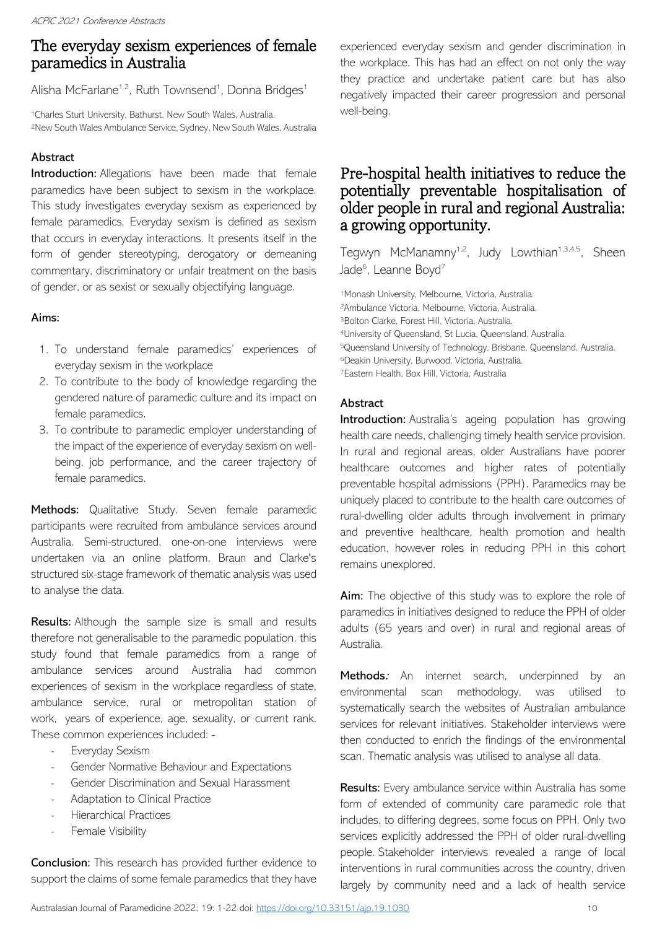# The everyday sexism experiences of female paramedics in Australia

Alisha McFarlane<sup>1,2</sup>, Ruth Townsend<sup>1</sup>, Donna Bridges<sup>1</sup>

<sup>1</sup>Charles Sturt University, Bathurst, New South Wales, Australia. <sup>2</sup>New South Wales Ambulance Service, Sydney, New South Wales, Australia

### Abstract

Introduction: Allegations have been made that female paramedics have been subject to sexism in the workplace. This study investigates everyday sexism as experienced by female paramedics. Everyday sexism is defined as sexism that occurs in everyday interactions. It presents itself in the form of gender stereotyping, derogatory or demeaning commentary, discriminatory or unfair treatment on the basis of gender, or as sexist or sexually objectifying language.

### Aims:

- 1. To understand female paramedics' experiences of everyday sexism in the workplace
- 2. To contribute to the body of knowledge regarding the gendered nature of paramedic culture and its impact on female paramedics.
- 3. To contribute to paramedic employer understanding of the impact of the experience of everyday sexism on wellbeing, job performance, and the career trajectory of female paramedics.

Methods: Qualitative Study. Seven female paramedic participants were recruited from ambulance services around Australia. Semi-structured, one-on-one interviews were undertaken via an online platform. Braun and Clarke's structured six-stage framework of thematic analysis was used to analyse the data.

Results: Although the sample size is small and results therefore not generalisable to the paramedic population, this study found that female paramedics from a range of ambulance services around Australia had common experiences of sexism in the workplace regardless of state, ambulance service, rural or metropolitan station of work, years of experience, age, sexuality, or current rank. These common experiences included: -

- Everyday Sexism
- Gender Normative Behaviour and Expectations
- Gender Discrimination and Sexual Harassment
- Adaptation to Clinical Practice
- Hierarchical Practices
- Female Visibility

**Conclusion:** This research has provided further evidence to support the claims of some female paramedics that they have experienced everyday sexism and gender discrimination in the workplace. This has had an effect on not only the way they practice and undertake patient care but has also negatively impacted their career progression and personal well-being.

# Pre-hospital health initiatives to reduce the potentially preventable hospitalisation of older people in rural and regional Australia: a growing opportunity.

Tegwyn McManamny<sup>1,2</sup>, Judy Lowthian<sup>1,3,4,5</sup>, Sheen Jade<sup>6</sup>, Leanne Boyd<sup>7</sup>

Monash University, Melbourne, Victoria, Australia. Ambulance Victoria, Melbourne, Victoria, Australia. Bolton Clarke, Forest Hill, Victoria, Australia. University of Queensland, St Lucia, Queensland, Australia. Queensland University of Technology, Brisbane, Queensland, Australia. Deakin University, Burwood, Victoria, Australia. Eastern Health, Box Hill, Victoria, Australia

### Abstract

Introduction: Australia's ageing population has growing health care needs, challenging timely health service provision. In rural and regional areas, older Australians have poorer healthcare outcomes and higher rates of potentially preventable hospital admissions (PPH). Paramedics may be uniquely placed to contribute to the health care outcomes of rural-dwelling older adults through involvement in primary and preventive healthcare, health promotion and health education, however roles in reducing PPH in this cohort remains unexplored.

Aim: The objective of this study was to explore the role of paramedics in initiatives designed to reduce the PPH of older adults (65 years and over) in rural and regional areas of Australia.

Methods: An internet search, underpinned by an environmental scan methodology, was utilised to systematically search the websites of Australian ambulance services for relevant initiatives. Stakeholder interviews were then conducted to enrich the findings of the environmental scan. Thematic analysis was utilised to analyse all data.

Results: Every ambulance service within Australia has some form of extended of community care paramedic role that includes, to differing degrees, some focus on PPH. Only two services explicitly addressed the PPH of older rural-dwelling people. Stakeholder interviews revealed a range of local interventions in rural communities across the country, driven largely by community need and a lack of health service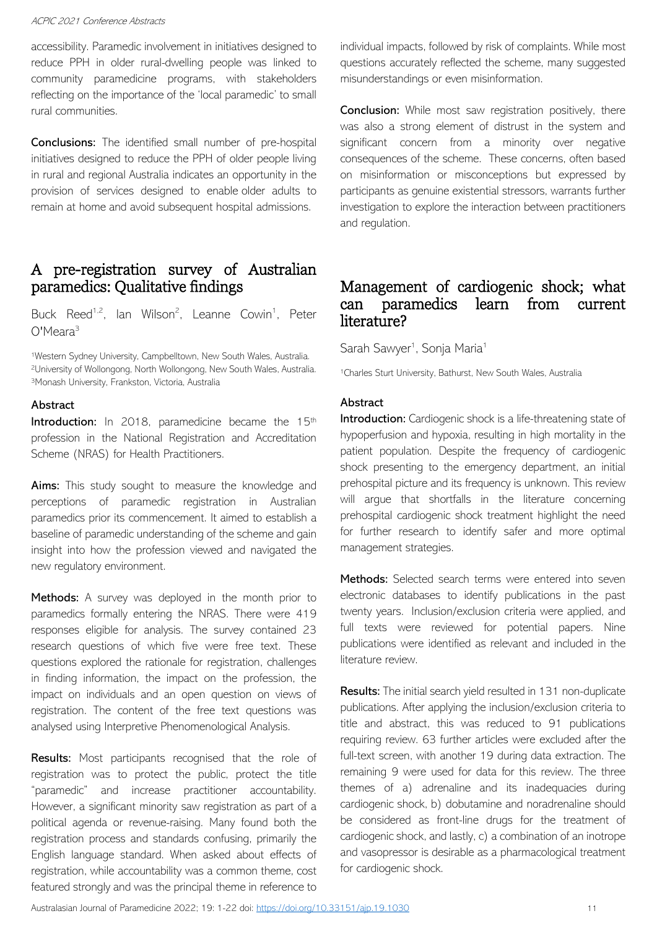accessibility. Paramedic involvement in initiatives designed to reduce PPH in older rural-dwelling people was linked to community paramedicine programs, with stakeholders reflecting on the importance of the 'local paramedic' to small rural communities.

Conclusions: The identified small number of pre-hospital initiatives designed to reduce the PPH of older people living in rural and regional Australia indicates an opportunity in the provision of services designed to enable older adults to remain at home and avoid subsequent hospital admissions.

# A pre-registration survey of Australian paramedics: Qualitative findings

Buck Reed<sup>1,2</sup>, lan Wilson<sup>2</sup>, Leanne Cowin<sup>1</sup>, Peter O'Meara<sup>3</sup>

1Western Sydney University, Campbelltown, New South Wales, Australia. <sup>2</sup>University of Wollongong, North Wollongong, New South Wales, Australia. <sup>3</sup>Monash University, Frankston, Victoria, Australia

#### Abstract

Introduction: In 2018, paramedicine became the 15<sup>th</sup> profession in the National Registration and Accreditation Scheme (NRAS) for Health Practitioners.

**Aims:** This study sought to measure the knowledge and perceptions of paramedic registration in Australian paramedics prior its commencement. It aimed to establish a baseline of paramedic understanding of the scheme and gain insight into how the profession viewed and navigated the new regulatory environment.

Methods: A survey was deployed in the month prior to paramedics formally entering the NRAS. There were 419 responses eligible for analysis. The survey contained 23 research questions of which five were free text. These questions explored the rationale for registration, challenges in finding information, the impact on the profession, the impact on individuals and an open question on views of registration. The content of the free text questions was analysed using Interpretive Phenomenological Analysis.

Results: Most participants recognised that the role of registration was to protect the public, protect the title "paramedic" and increase practitioner accountability. However, a significant minority saw registration as part of a political agenda or revenue-raising. Many found both the registration process and standards confusing, primarily the English language standard. When asked about effects of registration, while accountability was a common theme, cost featured strongly and was the principal theme in reference to individual impacts, followed by risk of complaints. While most questions accurately reflected the scheme, many suggested misunderstandings or even misinformation.

Conclusion: While most saw registration positively, there was also a strong element of distrust in the system and significant concern from a minority over negative consequences of the scheme. These concerns, often based on misinformation or misconceptions but expressed by participants as genuine existential stressors, warrants further investigation to explore the interaction between practitioners and regulation.

# Management of cardiogenic shock; what can paramedics learn from current literature?

Sarah Sawyer<sup>1</sup>, Sonja Maria<sup>1</sup>

<sup>1</sup>Charles Sturt University, Bathurst, New South Wales, Australia

### Abstract

Introduction: Cardiogenic shock is a life-threatening state of hypoperfusion and hypoxia, resulting in high mortality in the patient population. Despite the frequency of cardiogenic shock presenting to the emergency department, an initial prehospital picture and its frequency is unknown. This review will argue that shortfalls in the literature concerning prehospital cardiogenic shock treatment highlight the need for further research to identify safer and more optimal management strategies.

Methods: Selected search terms were entered into seven electronic databases to identify publications in the past twenty years. Inclusion/exclusion criteria were applied, and full texts were reviewed for potential papers. Nine publications were identified as relevant and included in the literature review.

Results: The initial search yield resulted in 131 non-duplicate publications. After applying the inclusion/exclusion criteria to title and abstract, this was reduced to 91 publications requiring review. 63 further articles were excluded after the full-text screen, with another 19 during data extraction. The remaining 9 were used for data for this review. The three themes of a) adrenaline and its inadequacies during cardiogenic shock, b) dobutamine and noradrenaline should be considered as front-line drugs for the treatment of cardiogenic shock, and lastly, c) a combination of an inotrope and vasopressor is desirable as a pharmacological treatment for cardiogenic shock.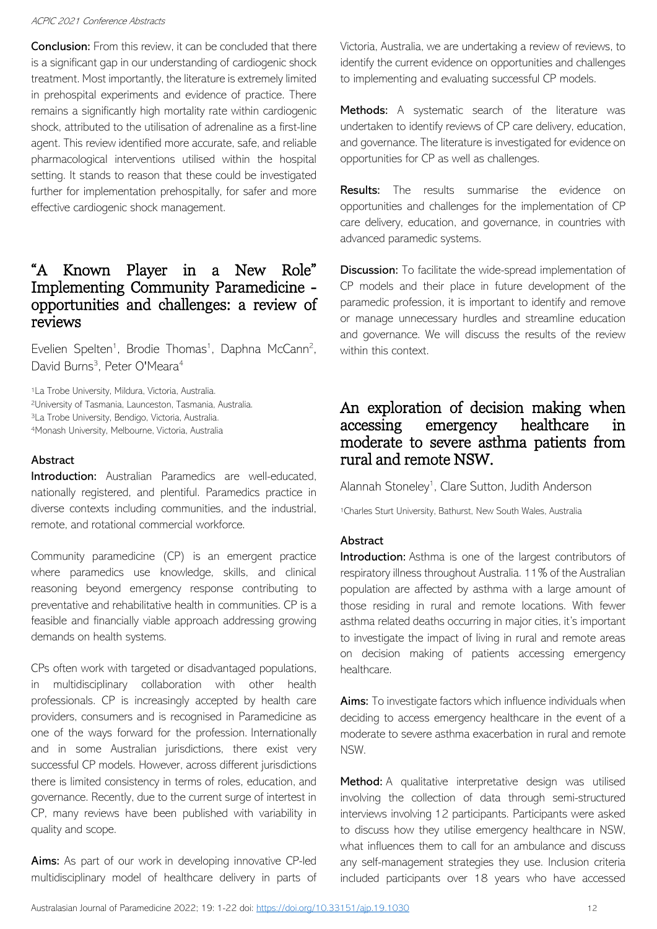**Conclusion:** From this review, it can be concluded that there is a significant gap in our understanding of cardiogenic shock treatment. Most importantly, the literature is extremely limited in prehospital experiments and evidence of practice. There remains a significantly high mortality rate within cardiogenic shock, attributed to the utilisation of adrenaline as a first-line agent. This review identified more accurate, safe, and reliable pharmacological interventions utilised within the hospital setting. It stands to reason that these could be investigated further for implementation prehospitally, for safer and more effective cardiogenic shock management.

# "A Known Player in a New Role" Implementing Community Paramedicine opportunities and challenges: a review of reviews

Evelien Spelten<sup>1</sup>, Brodie Thomas<sup>1</sup>, Daphna McCann<sup>2</sup>, David Burns<sup>3</sup>, Peter O'Meara<sup>4</sup>

La Trobe University, Mildura, Victoria, Australia. University of Tasmania, Launceston, Tasmania, Australia. La Trobe University, Bendigo, Victoria, Australia. Monash University, Melbourne, Victoria, Australia

### **Abstract**

Introduction: Australian Paramedics are well-educated, nationally registered, and plentiful. Paramedics practice in diverse contexts including communities, and the industrial, remote, and rotational commercial workforce.

Community paramedicine (CP) is an emergent practice where paramedics use knowledge, skills, and clinical reasoning beyond emergency response contributing to preventative and rehabilitative health in communities. CP is a feasible and financially viable approach addressing growing demands on health systems.

CPs often work with targeted or disadvantaged populations, in multidisciplinary collaboration with other health professionals. CP is increasingly accepted by health care providers, consumers and is recognised in Paramedicine as one of the ways forward for the profession. Internationally and in some Australian jurisdictions, there exist very successful CP models. However, across different jurisdictions there is limited consistency in terms of roles, education, and governance. Recently, due to the current surge of intertest in CP, many reviews have been published with variability in quality and scope.

Aims: As part of our work in developing innovative CP-led multidisciplinary model of healthcare delivery in parts of Victoria, Australia, we are undertaking a review of reviews, to identify the current evidence on opportunities and challenges to implementing and evaluating successful CP models.

Methods: A systematic search of the literature was undertaken to identify reviews of CP care delivery, education, and governance. The literature is investigated for evidence on opportunities for CP as well as challenges.

**Results:** The results summarise the evidence on opportunities and challenges for the implementation of CP care delivery, education, and governance, in countries with advanced paramedic systems.

Discussion: To facilitate the wide-spread implementation of CP models and their place in future development of the paramedic profession, it is important to identify and remove or manage unnecessary hurdles and streamline education and governance. We will discuss the results of the review within this context.

### An exploration of decision making when accessing emergency healthcare in moderate to severe asthma patients from rural and remote NSW.

Alannah Stoneley<sup>1</sup>, Clare Sutton, Judith Anderson

<sup>1</sup>Charles Sturt University, Bathurst, New South Wales, Australia

#### Abstract

Introduction: Asthma is one of the largest contributors of respiratory illness throughout Australia. 11% of the Australian population are affected by asthma with a large amount of those residing in rural and remote locations. With fewer asthma related deaths occurring in major cities, it's important to investigate the impact of living in rural and remote areas on decision making of patients accessing emergency healthcare.

Aims: To investigate factors which influence individuals when deciding to access emergency healthcare in the event of a moderate to severe asthma exacerbation in rural and remote NSW.

Method: A qualitative interpretative design was utilised involving the collection of data through semi-structured interviews involving 12 participants. Participants were asked to discuss how they utilise emergency healthcare in NSW, what influences them to call for an ambulance and discuss any self-management strategies they use. Inclusion criteria included participants over 18 years who have accessed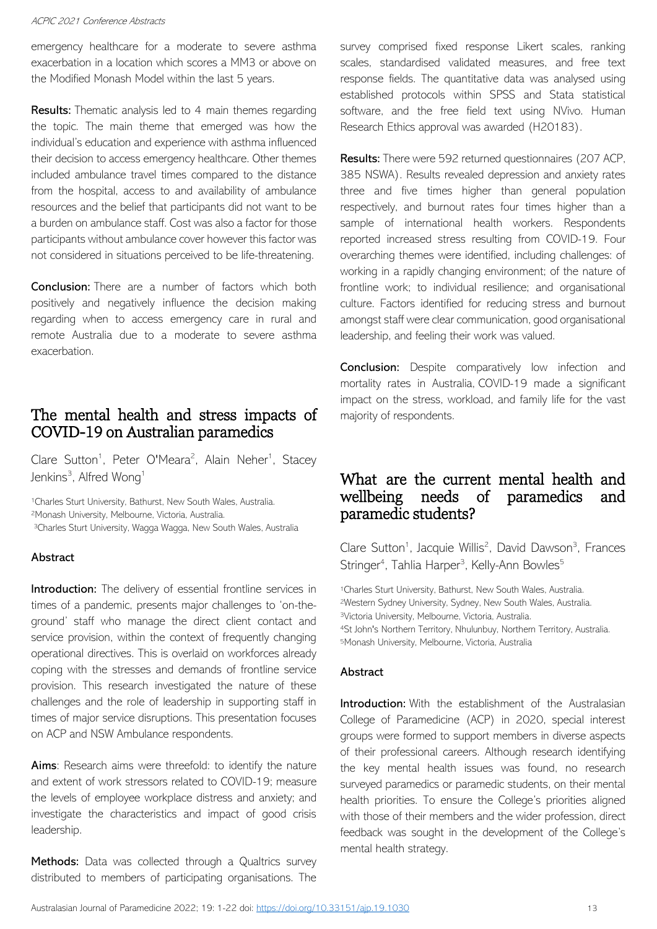emergency healthcare for a moderate to severe asthma exacerbation in a location which scores a MM3 or above on the Modified Monash Model within the last 5 years.

**Results:** Thematic analysis led to 4 main themes regarding the topic. The main theme that emerged was how the individual's education and experience with asthma influenced their decision to access emergency healthcare. Other themes included ambulance travel times compared to the distance from the hospital, access to and availability of ambulance resources and the belief that participants did not want to be a burden on ambulance staff. Cost was also a factor for those participants without ambulance cover however this factor was not considered in situations perceived to be life-threatening.

**Conclusion:** There are a number of factors which both positively and negatively influence the decision making regarding when to access emergency care in rural and remote Australia due to a moderate to severe asthma exacerbation.

# The mental health and stress impacts of COVID-19 on Australian paramedics

Clare Sutton<sup>1</sup>, Peter O'Meara<sup>2</sup>, Alain Neher<sup>1</sup>, Stacey Jenkins<sup>3</sup>, Alfred Wong<sup>1</sup>

<sup>1</sup>Charles Sturt University, Bathurst, New South Wales, Australia. <sup>2</sup>Monash University, Melbourne, Victoria, Australia.

<sup>3</sup>Charles Sturt University, Wagga Wagga, New South Wales, Australia

### Abstract

Introduction: The delivery of essential frontline services in times of a pandemic, presents major challenges to 'on-theground' staff who manage the direct client contact and service provision, within the context of frequently changing operational directives. This is overlaid on workforces already coping with the stresses and demands of frontline service provision. This research investigated the nature of these challenges and the role of leadership in supporting staff in times of major service disruptions. This presentation focuses on ACP and NSW Ambulance respondents.

Aims: Research aims were threefold: to identify the nature and extent of work stressors related to COVID-19; measure the levels of employee workplace distress and anxiety; and investigate the characteristics and impact of good crisis leadership.

Methods: Data was collected through a Qualtrics survey distributed to members of participating organisations. The

survey comprised fixed response Likert scales, ranking scales, standardised validated measures, and free text response fields. The quantitative data was analysed using established protocols within SPSS and Stata statistical software, and the free field text using NVivo. Human Research Ethics approval was awarded (H20183).

Results: There were 592 returned questionnaires (207 ACP, 385 NSWA). Results revealed depression and anxiety rates three and five times higher than general population respectively, and burnout rates four times higher than a sample of international health workers. Respondents reported increased stress resulting from COVID-19. Four overarching themes were identified, including challenges: of working in a rapidly changing environment; of the nature of frontline work; to individual resilience; and organisational culture. Factors identified for reducing stress and burnout amongst staff were clear communication, good organisational leadership, and feeling their work was valued.

**Conclusion:** Despite comparatively low infection and mortality rates in Australia, COVID-19 made a significant impact on the stress, workload, and family life for the vast majority of respondents.

# What are the current mental health and wellbeing needs of paramedics and paramedic students?

Clare Sutton<sup>1</sup>, Jacquie Willis<sup>2</sup>, David Dawson<sup>3</sup>, Frances Stringer<sup>4</sup>, Tahlia Harper<sup>3</sup>, Kelly-Ann Bowles<sup>5</sup>

Charles Sturt University, Bathurst, New South Wales, Australia. Western Sydney University, Sydney, New South Wales, Australia. Victoria University, Melbourne, Victoria, Australia. St John's Northern Territory, Nhulunbuy, Northern Territory, Australia. Monash University, Melbourne, Victoria, Australia

### **Abstract**

Introduction: With the establishment of the Australasian College of Paramedicine (ACP) in 2020, special interest groups were formed to support members in diverse aspects of their professional careers. Although research identifying the key mental health issues was found, no research surveyed paramedics or paramedic students, on their mental health priorities. To ensure the College's priorities aligned with those of their members and the wider profession, direct feedback was sought in the development of the College's mental health strategy.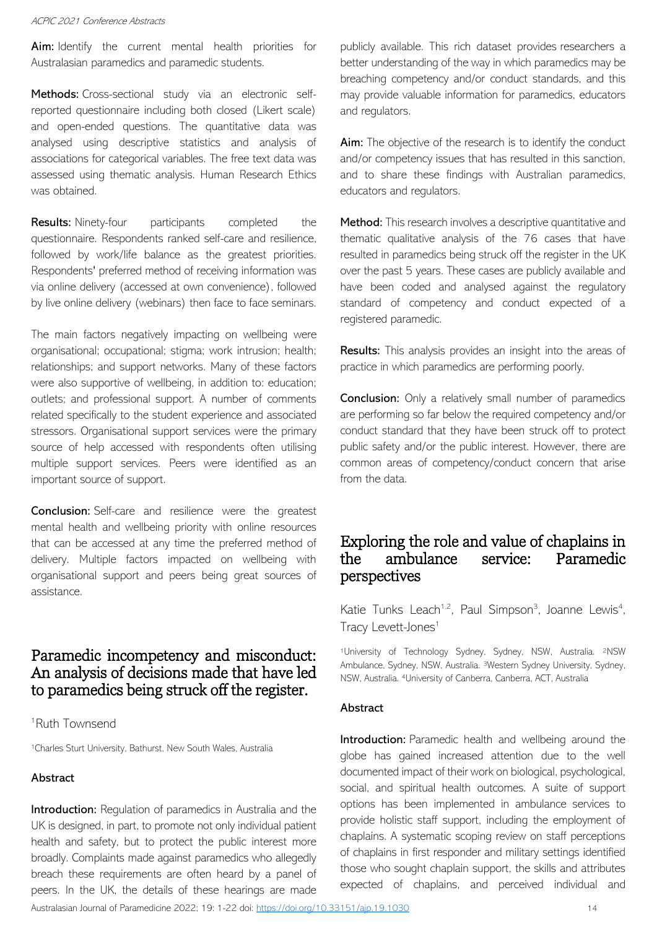Aim: Identify the current mental health priorities for Australasian paramedics and paramedic students.

Methods: Cross-sectional study via an electronic selfreported questionnaire including both closed (Likert scale) and open-ended questions. The quantitative data was analysed using descriptive statistics and analysis of associations for categorical variables. The free text data was assessed using thematic analysis. Human Research Ethics was obtained.

**Results:** Ninety-four participants completed the questionnaire. Respondents ranked self-care and resilience, followed by work/life balance as the greatest priorities. Respondents' preferred method of receiving information was via online delivery (accessed at own convenience), followed by live online delivery (webinars) then face to face seminars.

The main factors negatively impacting on wellbeing were organisational; occupational; stigma; work intrusion; health; relationships; and support networks. Many of these factors were also supportive of wellbeing, in addition to: education; outlets; and professional support. A number of comments related specifically to the student experience and associated stressors. Organisational support services were the primary source of help accessed with respondents often utilising multiple support services. Peers were identified as an important source of support.

**Conclusion:** Self-care and resilience were the greatest mental health and wellbeing priority with online resources that can be accessed at any time the preferred method of delivery. Multiple factors impacted on wellbeing with organisational support and peers being great sources of assistance.

# Paramedic incompetency and misconduct: An analysis of decisions made that have led to paramedics being struck off the register.

<sup>1</sup>Ruth Townsend

<sup>1</sup>Charles Sturt University, Bathurst, New South Wales, Australia

### Abstract

Introduction: Regulation of paramedics in Australia and the UK is designed, in part, to promote not only individual patient health and safety, but to protect the public interest more broadly. Complaints made against paramedics who allegedly breach these requirements are often heard by a panel of peers. In the UK, the details of these hearings are made

publicly available. This rich dataset provides researchers a better understanding of the way in which paramedics may be breaching competency and/or conduct standards, and this may provide valuable information for paramedics, educators and regulators.

Aim: The objective of the research is to identify the conduct and/or competency issues that has resulted in this sanction, and to share these findings with Australian paramedics, educators and regulators.

Method: This research involves a descriptive quantitative and thematic qualitative analysis of the 76 cases that have resulted in paramedics being struck off the register in the UK over the past 5 years. These cases are publicly available and have been coded and analysed against the regulatory standard of competency and conduct expected of a registered paramedic.

**Results:** This analysis provides an insight into the areas of practice in which paramedics are performing poorly.

**Conclusion:** Only a relatively small number of paramedics are performing so far below the required competency and/or conduct standard that they have been struck off to protect public safety and/or the public interest. However, there are common areas of competency/conduct concern that arise from the data.

# Exploring the role and value of chaplains in the ambulance service: Paramedic perspectives

Katie Tunks Leach<sup>1,2</sup>, Paul Simpson<sup>3</sup>, Joanne Lewis<sup>4</sup>, Tracy Levett-Jones<sup>1</sup>

<sup>1</sup>University of Technology Sydney, Sydney, NSW, Australia. 2NSW Ambulance, Sydney, NSW, Australia. <sup>3</sup>Western Sydney University, Sydney, NSW, Australia. 4University of Canberra, Canberra, ACT, Australia

#### Abstract

Introduction: Paramedic health and wellbeing around the globe has gained increased attention due to the well documented impact of their work on biological, psychological, social, and spiritual health outcomes. A suite of support options has been implemented in ambulance services to provide holistic staff support, including the employment of chaplains. A systematic scoping review on staff perceptions of chaplains in first responder and military settings identified those who sought chaplain support, the skills and attributes expected of chaplains, and perceived individual and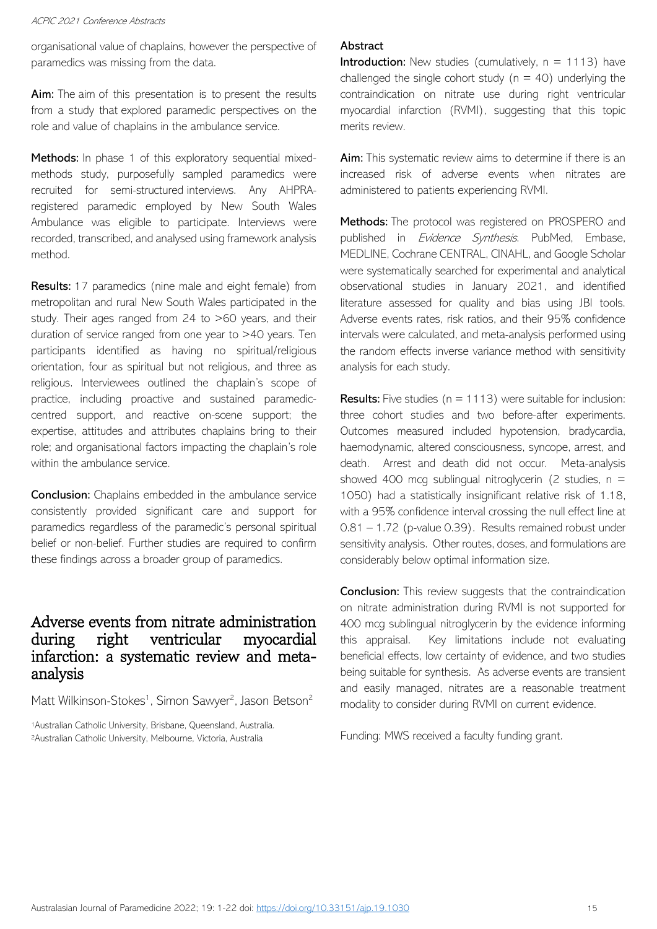organisational value of chaplains, however the perspective of paramedics was missing from the data.

Aim: The aim of this presentation is to present the results from a study that explored paramedic perspectives on the role and value of chaplains in the ambulance service.

Methods: In phase 1 of this exploratory sequential mixedmethods study, purposefully sampled paramedics were recruited for semi-structured interviews. Any AHPRAregistered paramedic employed by New South Wales Ambulance was eligible to participate. Interviews were recorded, transcribed, and analysed using framework analysis method.

Results: 17 paramedics (nine male and eight female) from metropolitan and rural New South Wales participated in the study. Their ages ranged from 24 to >60 years, and their duration of service ranged from one year to >40 years. Ten participants identified as having no spiritual/religious orientation, four as spiritual but not religious, and three as religious. Interviewees outlined the chaplain's scope of practice, including proactive and sustained paramediccentred support, and reactive on-scene support; the expertise, attitudes and attributes chaplains bring to their role; and organisational factors impacting the chaplain's role within the ambulance service.

**Conclusion:** Chaplains embedded in the ambulance service consistently provided significant care and support for paramedics regardless of the paramedic's personal spiritual belief or non-belief. Further studies are required to confirm these findings across a broader group of paramedics.

### Adverse events from nitrate administration during right ventricular myocardial infarction: a systematic review and metaanalysis

Matt Wilkinson-Stokes<sup>1</sup>, Simon Sawyer<sup>2</sup>, Jason Betson<sup>2</sup>

<sup>1</sup>Australian Catholic University, Brisbane, Queensland, Australia. <sup>2</sup>Australian Catholic University, Melbourne, Victoria, Australia

#### Abstract

**Introduction:** New studies (cumulatively,  $n = 1113$ ) have challenged the single cohort study ( $n = 40$ ) underlying the contraindication on nitrate use during right ventricular myocardial infarction (RVMI), suggesting that this topic merits review.

Aim: This systematic review aims to determine if there is an increased risk of adverse events when nitrates are administered to patients experiencing RVMI.

Methods: The protocol was registered on PROSPERO and published in *Evidence Synthesis*. PubMed, Embase, MEDLINE, Cochrane CENTRAL, CINAHL, and Google Scholar were systematically searched for experimental and analytical observational studies in January 2021, and identified literature assessed for quality and bias using JBI tools. Adverse events rates, risk ratios, and their 95% confidence intervals were calculated, and meta-analysis performed using the random effects inverse variance method with sensitivity analysis for each study.

**Results:** Five studies ( $n = 1113$ ) were suitable for inclusion: three cohort studies and two before-after experiments. Outcomes measured included hypotension, bradycardia, haemodynamic, altered consciousness, syncope, arrest, and death. Arrest and death did not occur. Meta-analysis showed 400 mcg sublingual nitroglycerin (2 studies,  $n =$ 1050) had a statistically insignificant relative risk of 1.18, with a 95% confidence interval crossing the null effect line at 0.81 – 1.72 (p-value 0.39). Results remained robust under sensitivity analysis. Other routes, doses, and formulations are considerably below optimal information size.

**Conclusion:** This review suggests that the contraindication on nitrate administration during RVMI is not supported for 400 mcg sublingual nitroglycerin by the evidence informing this appraisal. Key limitations include not evaluating beneficial effects, low certainty of evidence, and two studies being suitable for synthesis. As adverse events are transient and easily managed, nitrates are a reasonable treatment modality to consider during RVMI on current evidence.

Funding: MWS received a faculty funding grant.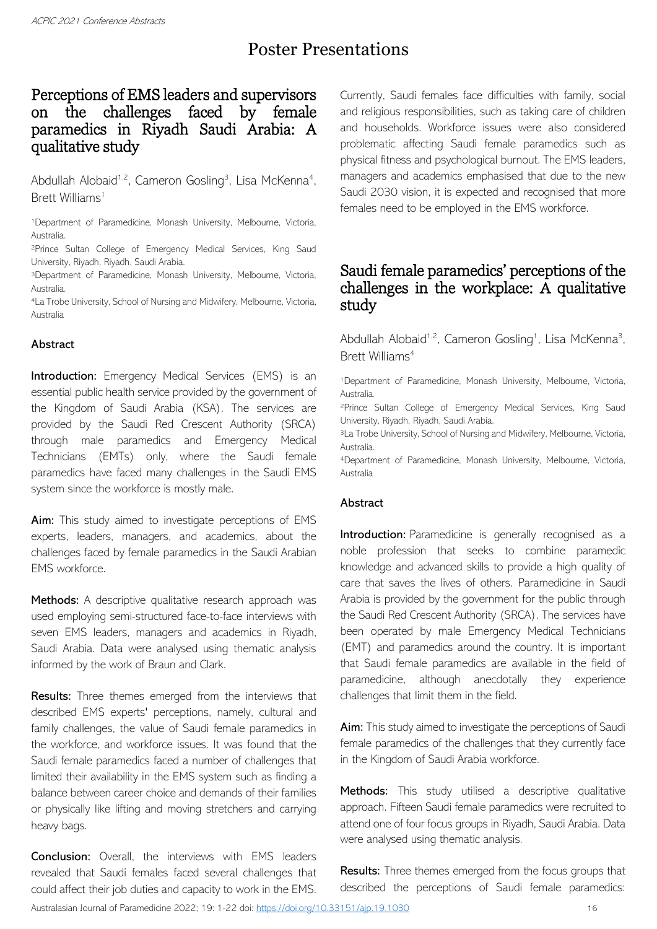# Poster Presentations

# Perceptions of EMS leaders and supervisors on the challenges faced by female paramedics in Riyadh Saudi Arabia: A qualitative study

Abdullah Alobaid<sup>1,2</sup>, Cameron Gosling<sup>3</sup>, Lisa McKenna<sup>4</sup>, Brett Williams<sup>1</sup>

<sup>1</sup>Department of Paramedicine, Monash University, Melbourne, Victoria, Australia.

<sup>2</sup>Prince Sultan College of Emergency Medical Services, King Saud University, Riyadh, Riyadh, Saudi Arabia.

<sup>3</sup>Department of Paramedicine, Monash University, Melbourne, Victoria, Australia.

<sup>4</sup>La Trobe University, School of Nursing and Midwifery, Melbourne, Victoria, Australia

### Abstract

Introduction: Emergency Medical Services (EMS) is an essential public health service provided by the government of the Kingdom of Saudi Arabia (KSA). The services are provided by the Saudi Red Crescent Authority (SRCA) through male paramedics and Emergency Medical Technicians (EMTs) only, where the Saudi female paramedics have faced many challenges in the Saudi EMS system since the workforce is mostly male.

Aim: This study aimed to investigate perceptions of EMS experts, leaders, managers, and academics, about the challenges faced by female paramedics in the Saudi Arabian EMS workforce.

Methods: A descriptive qualitative research approach was used employing semi-structured face-to-face interviews with seven EMS leaders, managers and academics in Riyadh, Saudi Arabia. Data were analysed using thematic analysis informed by the work of Braun and Clark.

Results: Three themes emerged from the interviews that described EMS experts' perceptions, namely, cultural and family challenges, the value of Saudi female paramedics in the workforce, and workforce issues. It was found that the Saudi female paramedics faced a number of challenges that limited their availability in the EMS system such as finding a balance between career choice and demands of their families or physically like lifting and moving stretchers and carrying heavy bags.

**Conclusion:** Overall, the interviews with EMS leaders revealed that Saudi females faced several challenges that could affect their job duties and capacity to work in the EMS. Currently, Saudi females face difficulties with family, social and religious responsibilities, such as taking care of children and households. Workforce issues were also considered problematic affecting Saudi female paramedics such as physical fitness and psychological burnout. The EMS leaders, managers and academics emphasised that due to the new Saudi 2030 vision, it is expected and recognised that more females need to be employed in the EMS workforce.

# Saudi female paramedics' perceptions of the challenges in the workplace:  $\overline{A}$  qualitative study

Abdullah Alobaid<sup>1,2</sup>, Cameron Gosling<sup>1</sup>, Lisa McKenna<sup>3</sup>, Brett Williams<sup>4</sup>

<sup>1</sup>Department of Paramedicine, Monash University, Melbourne, Victoria, Australia.

<sup>2</sup>Prince Sultan College of Emergency Medical Services, King Saud University, Riyadh, Riyadh, Saudi Arabia.

<sup>3</sup>La Trobe University, School of Nursing and Midwifery, Melbourne, Victoria, Australia.

<sup>4</sup>Department of Paramedicine, Monash University, Melbourne, Victoria, Australia

### **Abstract**

Introduction: Paramedicine is generally recognised as a noble profession that seeks to combine paramedic knowledge and advanced skills to provide a high quality of care that saves the lives of others. Paramedicine in Saudi Arabia is provided by the government for the public through the Saudi Red Crescent Authority (SRCA). The services have been operated by male Emergency Medical Technicians (EMT) and paramedics around the country. It is important that Saudi female paramedics are available in the field of paramedicine, although anecdotally they experience challenges that limit them in the field.

Aim: This study aimed to investigate the perceptions of Saudi female paramedics of the challenges that they currently face in the Kingdom of Saudi Arabia workforce.

Methods: This study utilised a descriptive qualitative approach. Fifteen Saudi female paramedics were recruited to attend one of four focus groups in Riyadh, Saudi Arabia. Data were analysed using thematic analysis.

Results: Three themes emerged from the focus groups that described the perceptions of Saudi female paramedics: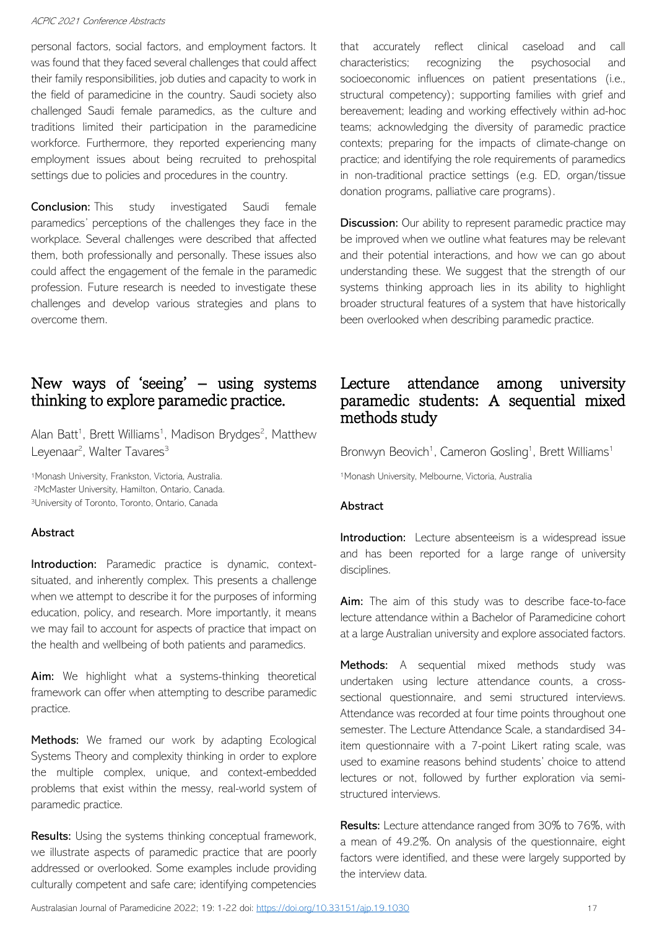personal factors, social factors, and employment factors. It was found that they faced several challenges that could affect their family responsibilities, job duties and capacity to work in the field of paramedicine in the country. Saudi society also challenged Saudi female paramedics, as the culture and traditions limited their participation in the paramedicine workforce. Furthermore, they reported experiencing many employment issues about being recruited to prehospital settings due to policies and procedures in the country.

**Conclusion:** This study investigated Saudi female paramedics' perceptions of the challenges they face in the workplace. Several challenges were described that affected them, both professionally and personally. These issues also could affect the engagement of the female in the paramedic profession. Future research is needed to investigate these challenges and develop various strategies and plans to overcome them.

# New ways of 'seeing' – using systems thinking to explore paramedic practice.

Alan Batt<sup>1</sup>, Brett Williams<sup>1</sup>, Madison Brydges<sup>2</sup>, Matthew Leyenaar<sup>2</sup>, Walter Tavares<sup>3</sup>

<sup>1</sup>Monash University, Frankston, Victoria, Australia. <sup>2</sup>McMaster University, Hamilton, Ontario, Canada. <sup>3</sup>University of Toronto, Toronto, Ontario, Canada

#### Abstract

Introduction: Paramedic practice is dynamic, contextsituated, and inherently complex. This presents a challenge when we attempt to describe it for the purposes of informing education, policy, and research. More importantly, it means we may fail to account for aspects of practice that impact on the health and wellbeing of both patients and paramedics.

Aim: We highlight what a systems-thinking theoretical framework can offer when attempting to describe paramedic practice.

Methods: We framed our work by adapting Ecological Systems Theory and complexity thinking in order to explore the multiple complex, unique, and context-embedded problems that exist within the messy, real-world system of paramedic practice.

Results: Using the systems thinking conceptual framework, we illustrate aspects of paramedic practice that are poorly addressed or overlooked. Some examples include providing culturally competent and safe care; identifying competencies that accurately reflect clinical caseload and call characteristics; recognizing the psychosocial and socioeconomic influences on patient presentations (i.e., structural competency); supporting families with grief and bereavement; leading and working effectively within ad-hoc teams; acknowledging the diversity of paramedic practice contexts; preparing for the impacts of climate-change on practice; and identifying the role requirements of paramedics in non-traditional practice settings (e.g. ED, organ/tissue donation programs, palliative care programs).

**Discussion:** Our ability to represent paramedic practice may be improved when we outline what features may be relevant and their potential interactions, and how we can go about understanding these. We suggest that the strength of our systems thinking approach lies in its ability to highlight broader structural features of a system that have historically been overlooked when describing paramedic practice.

### Lecture attendance among university paramedic students: A sequential mixed methods study

Bronwyn Beovich<sup>1</sup>, Cameron Gosling<sup>1</sup>, Brett Williams<sup>1</sup>

<sup>1</sup>Monash University, Melbourne, Victoria, Australia

#### **Abstract**

Introduction: Lecture absenteeism is a widespread issue and has been reported for a large range of university disciplines.

Aim: The aim of this study was to describe face-to-face lecture attendance within a Bachelor of Paramedicine cohort at a large Australian university and explore associated factors.

Methods: A sequential mixed methods study was undertaken using lecture attendance counts, a crosssectional questionnaire, and semi structured interviews. Attendance was recorded at four time points throughout one semester. The Lecture Attendance Scale, a standardised 34 item questionnaire with a 7-point Likert rating scale, was used to examine reasons behind students' choice to attend lectures or not, followed by further exploration via semistructured interviews.

Results: Lecture attendance ranged from 30% to 76%, with a mean of 49.2%. On analysis of the questionnaire, eight factors were identified, and these were largely supported by the interview data.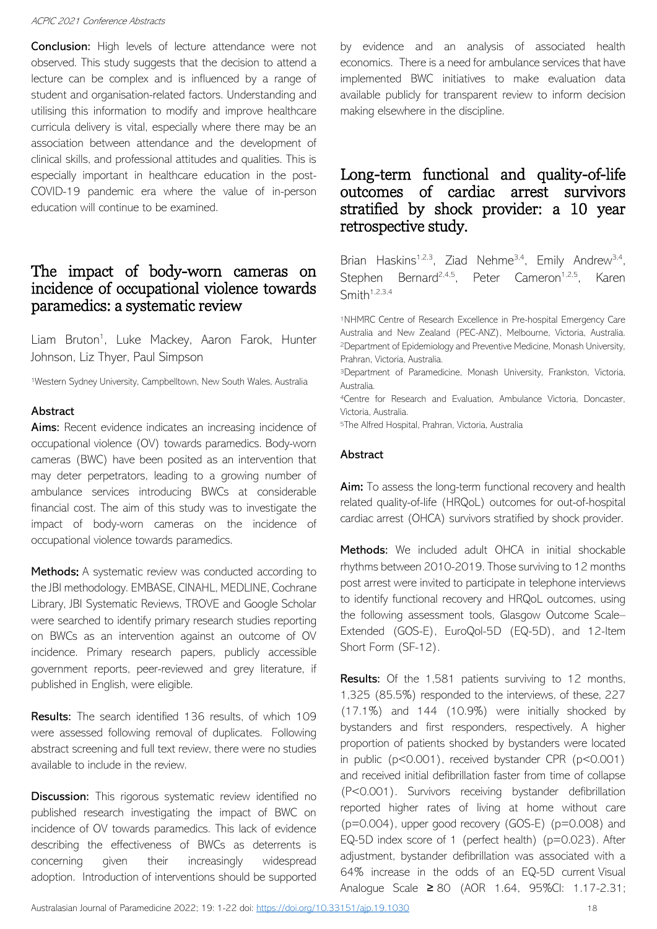**Conclusion:** High levels of lecture attendance were not observed. This study suggests that the decision to attend a lecture can be complex and is influenced by a range of student and organisation-related factors. Understanding and utilising this information to modify and improve healthcare curricula delivery is vital, especially where there may be an association between attendance and the development of clinical skills, and professional attitudes and qualities. This is especially important in healthcare education in the post-COVID-19 pandemic era where the value of in-person education will continue to be examined.

### The impact of body-worn cameras on incidence of occupational violence towards paramedics: a systematic review

Liam Bruton<sup>1</sup>, Luke Mackey, Aaron Farok, Hunter Johnson, Liz Thyer, Paul Simpson

<sup>1</sup>Western Sydney University, Campbelltown, New South Wales, Australia

#### Abstract

Aims: Recent evidence indicates an increasing incidence of occupational violence (OV) towards paramedics. Body-worn cameras (BWC) have been posited as an intervention that may deter perpetrators, leading to a growing number of ambulance services introducing BWCs at considerable financial cost. The aim of this study was to investigate the impact of body-worn cameras on the incidence of occupational violence towards paramedics.

Methods: A systematic review was conducted according to the JBI methodology. EMBASE, CINAHL, MEDLINE, Cochrane Library, JBI Systematic Reviews, TROVE and Google Scholar were searched to identify primary research studies reporting on BWCs as an intervention against an outcome of OV incidence. Primary research papers, publicly accessible government reports, peer-reviewed and grey literature, if published in English, were eligible.

Results: The search identified 136 results, of which 109 were assessed following removal of duplicates. Following abstract screening and full text review, there were no studies available to include in the review.

**Discussion:** This rigorous systematic review identified no published research investigating the impact of BWC on incidence of OV towards paramedics. This lack of evidence describing the effectiveness of BWCs as deterrents is concerning given their increasingly widespread adoption. Introduction of interventions should be supported by evidence and an analysis of associated health economics. There is a need for ambulance services that have implemented BWC initiatives to make evaluation data available publicly for transparent review to inform decision making elsewhere in the discipline.

# Long-term functional and quality-of-life outcomes of cardiac arrest survivors stratified by shock provider: a 10 year retrospective study.

Brian Haskins<sup>1,2,3</sup>, Ziad Nehme<sup>3,4</sup>, Emily Andrew<sup>3,4</sup>, Stephen Bernard<sup>2,4,5</sup>, Peter Cameron<sup>1,2,5</sup>, Karen  $Smith<sup>1,2,3,4</sup>$ 

<sup>1</sup>NHMRC Centre of Research Excellence in Pre-hospital Emergency Care Australia and New Zealand (PEC-ANZ), Melbourne, Victoria, Australia. <sup>2</sup>Department of Epidemiology and Preventive Medicine, Monash University, Prahran, Victoria, Australia.

<sup>3</sup>Department of Paramedicine, Monash University, Frankston, Victoria, Australia.

<sup>4</sup>Centre for Research and Evaluation, Ambulance Victoria, Doncaster, Victoria, Australia.

<sup>5</sup>The Alfred Hospital, Prahran, Victoria, Australia

### Abstract

Aim: To assess the long-term functional recovery and health related quality-of-life (HRQoL) outcomes for out-of-hospital cardiac arrest (OHCA) survivors stratified by shock provider.

Methods: We included adult OHCA in initial shockable rhythms between 2010-2019. Those surviving to 12 months post arrest were invited to participate in telephone interviews to identify functional recovery and HRQoL outcomes, using the following assessment tools, Glasgow Outcome Scale– Extended (GOS-E), EuroQol-5D (EQ-5D), and 12-Item Short Form (SF-12).

Results: Of the 1,581 patients surviving to 12 months, 1,325 (85.5%) responded to the interviews, of these, 227 (17.1%) and 144 (10.9%) were initially shocked by bystanders and first responders, respectively. A higher proportion of patients shocked by bystanders were located in public (p<0.001), received bystander CPR (p<0.001) and received initial defibrillation faster from time of collapse (P<0.001). Survivors receiving bystander defibrillation reported higher rates of living at home without care (p=0.004), upper good recovery (GOS-E) (p=0.008) and EQ-5D index score of 1 (perfect health) (p=0.023). After adjustment, bystander defibrillation was associated with a 64% increase in the odds of an EQ-5D current Visual Analogue Scale ≥ 80 (AOR 1.64, 95%CI: 1.17-2.31;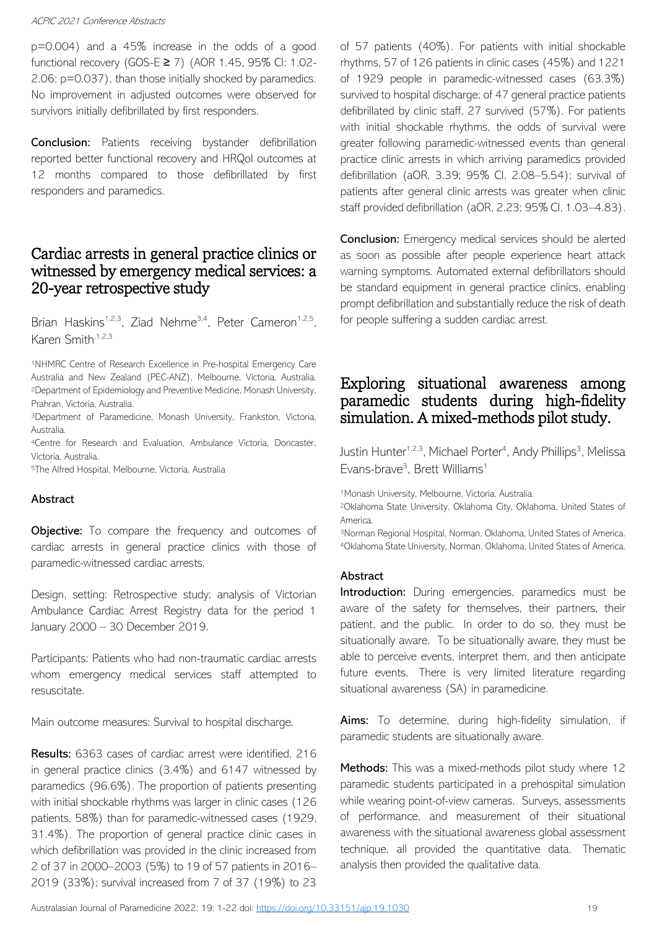p=0.004) and a 45% increase in the odds of a good functional recovery (GOS-E ≥ 7) (AOR 1.45, 95% CI: 1.02- 2.06; p=0.037), than those initially shocked by paramedics. No improvement in adjusted outcomes were observed for survivors initially defibrillated by first responders.

Conclusion: Patients receiving bystander defibrillation reported better functional recovery and HRQol outcomes at 12 months compared to those defibrillated by first responders and paramedics.

# Cardiac arrests in general practice clinics or witnessed by emergency medical services: a 20-year retrospective study

Brian Haskins<sup>1,2,3</sup>, Ziad Nehme<sup>3,4</sup>, Peter Cameron<sup>1,2,5</sup>, Karen Smith, 1,2,3

<sup>1</sup>NHMRC Centre of Research Excellence in Pre-hospital Emergency Care Australia and New Zealand (PEC-ANZ), Melbourne, Victoria, Australia. <sup>2</sup>Department of Epidemiology and Preventive Medicine, Monash University, Prahran, Victoria, Australia.

<sup>3</sup>Department of Paramedicine, Monash University, Frankston, Victoria, Australia.

<sup>4</sup>Centre for Research and Evaluation, Ambulance Victoria, Doncaster, Victoria, Australia.

<sup>5</sup>The Alfred Hospital, Melbourne, Victoria, Australia

### Abstract

**Objective:** To compare the frequency and outcomes of cardiac arrests in general practice clinics with those of paramedic-witnessed cardiac arrests.

Design, setting: Retrospective study; analysis of Victorian Ambulance Cardiac Arrest Registry data for the period 1 January 2000 – 30 December 2019.

Participants: Patients who had non-traumatic cardiac arrests whom emergency medical services staff attempted to resuscitate.

Main outcome measures: Survival to hospital discharge.

Results: 6363 cases of cardiac arrest were identified, 216 in general practice clinics (3.4%) and 6147 witnessed by paramedics (96.6%). The proportion of patients presenting with initial shockable rhythms was larger in clinic cases (126 patients, 58%) than for paramedic-witnessed cases (1929, 31.4%). The proportion of general practice clinic cases in which defibrillation was provided in the clinic increased from 2 of 37 in 2000–2003 (5%) to 19 of 57 patients in 2016– 2019 (33%); survival increased from 7 of 37 (19%) to 23 of 57 patients (40%). For patients with initial shockable rhythms, 57 of 126 patients in clinic cases (45%) and 1221 of 1929 people in paramedic-witnessed cases (63.3%) survived to hospital discharge; of 47 general practice patients defibrillated by clinic staff, 27 survived (57%). For patients with initial shockable rhythms, the odds of survival were greater following paramedic-witnessed events than general practice clinic arrests in which arriving paramedics provided defibrillation (aOR, 3.39; 95% CI, 2.08–5.54); survival of patients after general clinic arrests was greater when clinic staff provided defibrillation (aOR, 2.23; 95% CI, 1.03–4.83).

**Conclusion:** Emergency medical services should be alerted as soon as possible after people experience heart attack warning symptoms. Automated external defibrillators should be standard equipment in general practice clinics, enabling prompt defibrillation and substantially reduce the risk of death for people suffering a sudden cardiac arrest.

# Exploring situational awareness among paramedic students during high-fidelity simulation. A mixed-methods pilot study.

Justin Hunter<sup>1,2,3</sup>, Michael Porter<sup>4</sup>, Andy Phillips<sup>3</sup>, Melissa Evans-brave<sup>3</sup>, Brett Williams<sup>1</sup>

1Monash University, Melbourne, Victoria, Australia.

<sup>2</sup>Oklahoma State University, Oklahoma City, Oklahoma, United States of America.

<sup>3</sup>Norman Regional Hospital, Norman, Oklahoma, United States of America. <sup>4</sup>Oklahoma State University, Norman, Oklahoma, United States of America.

#### Abstract

**Introduction:** During emergencies, paramedics must be aware of the safety for themselves, their partners, their patient, and the public. In order to do so, they must be situationally aware. To be situationally aware, they must be able to perceive events, interpret them, and then anticipate future events. There is very limited literature regarding situational awareness (SA) in paramedicine.

Aims: To determine, during high-fidelity simulation, if paramedic students are situationally aware.

Methods: This was a mixed-methods pilot study where 12 paramedic students participated in a prehospital simulation while wearing point-of-view cameras. Surveys, assessments of performance, and measurement of their situational awareness with the situational awareness global assessment technique, all provided the quantitative data. Thematic analysis then provided the qualitative data.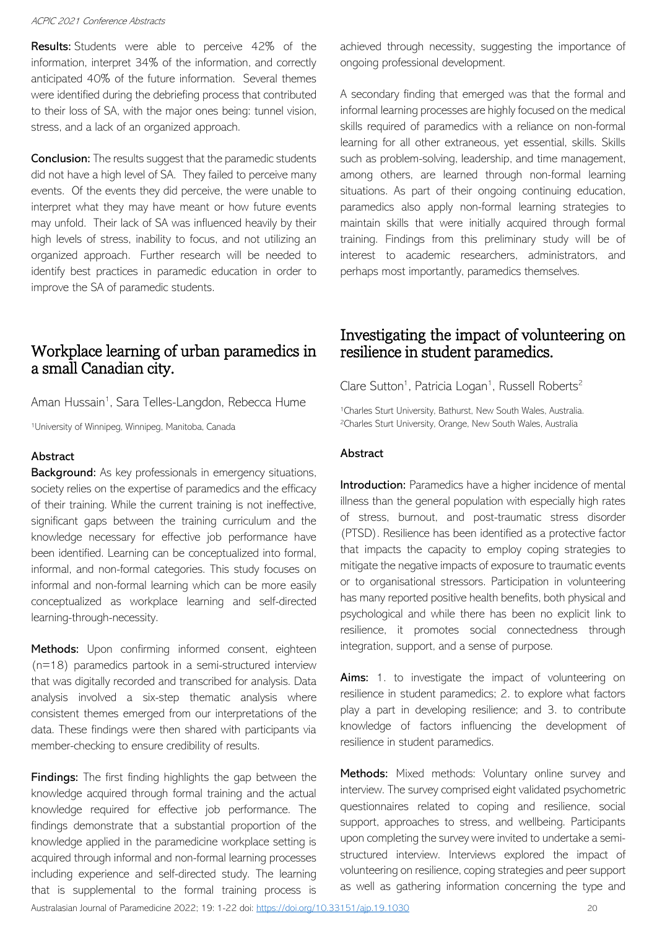**Results:** Students were able to perceive 42% of the information, interpret 34% of the information, and correctly anticipated 40% of the future information. Several themes were identified during the debriefing process that contributed to their loss of SA, with the major ones being: tunnel vision, stress, and a lack of an organized approach.

**Conclusion:** The results suggest that the paramedic students did not have a high level of SA. They failed to perceive many events. Of the events they did perceive, the were unable to interpret what they may have meant or how future events may unfold. Their lack of SA was influenced heavily by their high levels of stress, inability to focus, and not utilizing an organized approach. Further research will be needed to identify best practices in paramedic education in order to improve the SA of paramedic students.

# Workplace learning of urban paramedics in a small Canadian city.

Aman Hussain<sup>1</sup>, Sara Telles-Langdon, Rebecca Hume

<sup>1</sup>University of Winnipeg, Winnipeg, Manitoba, Canada

#### Abstract

**Background:** As key professionals in emergency situations, society relies on the expertise of paramedics and the efficacy of their training. While the current training is not ineffective, significant gaps between the training curriculum and the knowledge necessary for effective job performance have been identified. Learning can be conceptualized into formal, informal, and non-formal categories. This study focuses on informal and non-formal learning which can be more easily conceptualized as workplace learning and self-directed learning-through-necessity.

Methods: Upon confirming informed consent, eighteen (n=18) paramedics partook in a semi-structured interview that was digitally recorded and transcribed for analysis. Data analysis involved a six-step thematic analysis where consistent themes emerged from our interpretations of the data. These findings were then shared with participants via member-checking to ensure credibility of results.

Findings: The first finding highlights the gap between the knowledge acquired through formal training and the actual knowledge required for effective job performance. The findings demonstrate that a substantial proportion of the knowledge applied in the paramedicine workplace setting is acquired through informal and non-formal learning processes including experience and self-directed study. The learning that is supplemental to the formal training process is achieved through necessity, suggesting the importance of ongoing professional development.

A secondary finding that emerged was that the formal and informal learning processes are highly focused on the medical skills required of paramedics with a reliance on non-formal learning for all other extraneous, yet essential, skills. Skills such as problem-solving, leadership, and time management, among others, are learned through non-formal learning situations. As part of their ongoing continuing education, paramedics also apply non-formal learning strategies to maintain skills that were initially acquired through formal training. Findings from this preliminary study will be of interest to academic researchers, administrators, and perhaps most importantly, paramedics themselves.

# Investigating the impact of volunteering on resilience in student paramedics.

### Clare Sutton<sup>1</sup>, Patricia Logan<sup>1</sup>, Russell Roberts<sup>2</sup>

<sup>1</sup>Charles Sturt University, Bathurst, New South Wales, Australia. <sup>2</sup>Charles Sturt University, Orange, New South Wales, Australia

### Abstract

Introduction: Paramedics have a higher incidence of mental illness than the general population with especially high rates of stress, burnout, and post-traumatic stress disorder (PTSD). Resilience has been identified as a protective factor that impacts the capacity to employ coping strategies to mitigate the negative impacts of exposure to traumatic events or to organisational stressors. Participation in volunteering has many reported positive health benefits, both physical and psychological and while there has been no explicit link to resilience, it promotes social connectedness through integration, support, and a sense of purpose.

**Aims:** 1. to investigate the impact of volunteering on resilience in student paramedics; 2. to explore what factors play a part in developing resilience; and 3. to contribute knowledge of factors influencing the development of resilience in student paramedics.

Methods: Mixed methods: Voluntary online survey and interview. The survey comprised eight validated psychometric questionnaires related to coping and resilience, social support, approaches to stress, and wellbeing. Participants upon completing the survey were invited to undertake a semistructured interview. Interviews explored the impact of volunteering on resilience, coping strategies and peer support as well as gathering information concerning the type and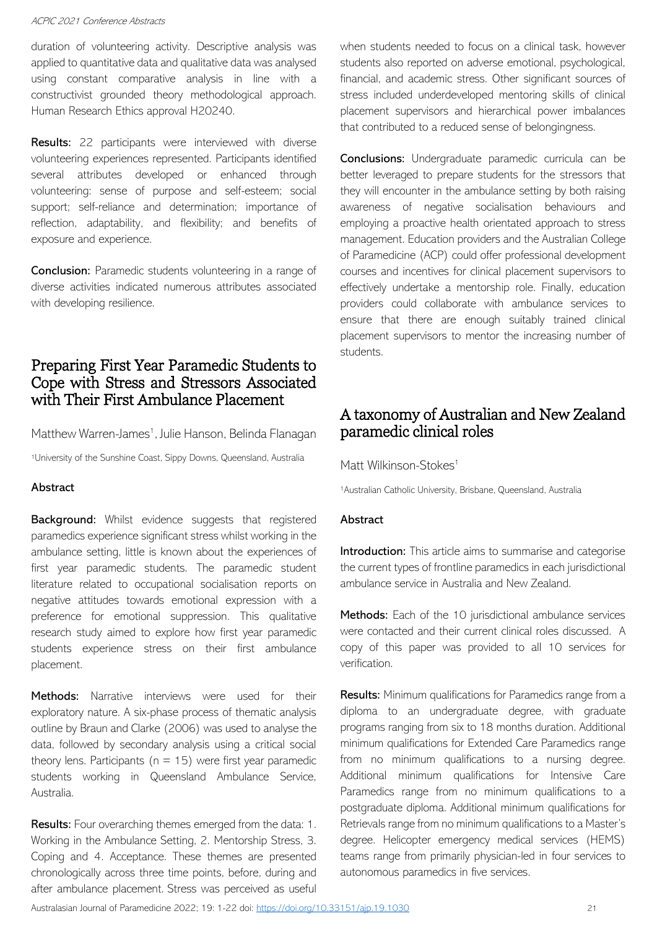duration of volunteering activity. Descriptive analysis was applied to quantitative data and qualitative data was analysed using constant comparative analysis in line with a constructivist grounded theory methodological approach. Human Research Ethics approval H20240.

**Results:** 22 participants were interviewed with diverse volunteering experiences represented. Participants identified several attributes developed or enhanced through volunteering: sense of purpose and self-esteem; social support; self-reliance and determination; importance of reflection, adaptability, and flexibility; and benefits of exposure and experience.

Conclusion: Paramedic students volunteering in a range of diverse activities indicated numerous attributes associated with developing resilience.

# Preparing First Year Paramedic Students to Cope with Stress and Stressors Associated with Their First Ambulance Placement

Matthew Warren-James<sup>1</sup>, Julie Hanson, Belinda Flanagan

<sup>1</sup>University of the Sunshine Coast, Sippy Downs, Queensland, Australia

#### Abstract

Background: Whilst evidence suggests that registered paramedics experience significant stress whilst working in the ambulance setting, little is known about the experiences of first year paramedic students. The paramedic student literature related to occupational socialisation reports on negative attitudes towards emotional expression with a preference for emotional suppression. This qualitative research study aimed to explore how first year paramedic students experience stress on their first ambulance placement.

Methods: Narrative interviews were used for their exploratory nature. A six-phase process of thematic analysis outline by Braun and Clarke (2006) was used to analyse the data, followed by secondary analysis using a critical social theory lens. Participants ( $n = 15$ ) were first year paramedic students working in Queensland Ambulance Service, Australia.

Results: Four overarching themes emerged from the data: 1. Working in the Ambulance Setting, 2. Mentorship Stress, 3. Coping and 4. Acceptance. These themes are presented chronologically across three time points, before, during and after ambulance placement. Stress was perceived as useful when students needed to focus on a clinical task, however students also reported on adverse emotional, psychological, financial, and academic stress. Other significant sources of stress included underdeveloped mentoring skills of clinical placement supervisors and hierarchical power imbalances that contributed to a reduced sense of belongingness.

Conclusions: Undergraduate paramedic curricula can be better leveraged to prepare students for the stressors that they will encounter in the ambulance setting by both raising awareness of negative socialisation behaviours and employing a proactive health orientated approach to stress management. Education providers and the Australian College of Paramedicine (ACP) could offer professional development courses and incentives for clinical placement supervisors to effectively undertake a mentorship role. Finally, education providers could collaborate with ambulance services to ensure that there are enough suitably trained clinical placement supervisors to mentor the increasing number of students.

# A taxonomy of Australian and New Zealand paramedic clinical roles

Matt Wilkinson-Stokes<sup>1</sup>

<sup>1</sup>Australian Catholic University, Brisbane, Queensland, Australia

#### Abstract

Introduction: This article aims to summarise and categorise the current types of frontline paramedics in each jurisdictional ambulance service in Australia and New Zealand.

Methods: Each of the 10 jurisdictional ambulance services were contacted and their current clinical roles discussed. A copy of this paper was provided to all 10 services for verification.

Results: Minimum qualifications for Paramedics range from a diploma to an undergraduate degree, with graduate programs ranging from six to 18 months duration. Additional minimum qualifications for Extended Care Paramedics range from no minimum qualifications to a nursing degree. Additional minimum qualifications for Intensive Care Paramedics range from no minimum qualifications to a postgraduate diploma. Additional minimum qualifications for Retrievals range from no minimum qualifications to a Master's degree. Helicopter emergency medical services (HEMS) teams range from primarily physician-led in four services to autonomous paramedics in five services.